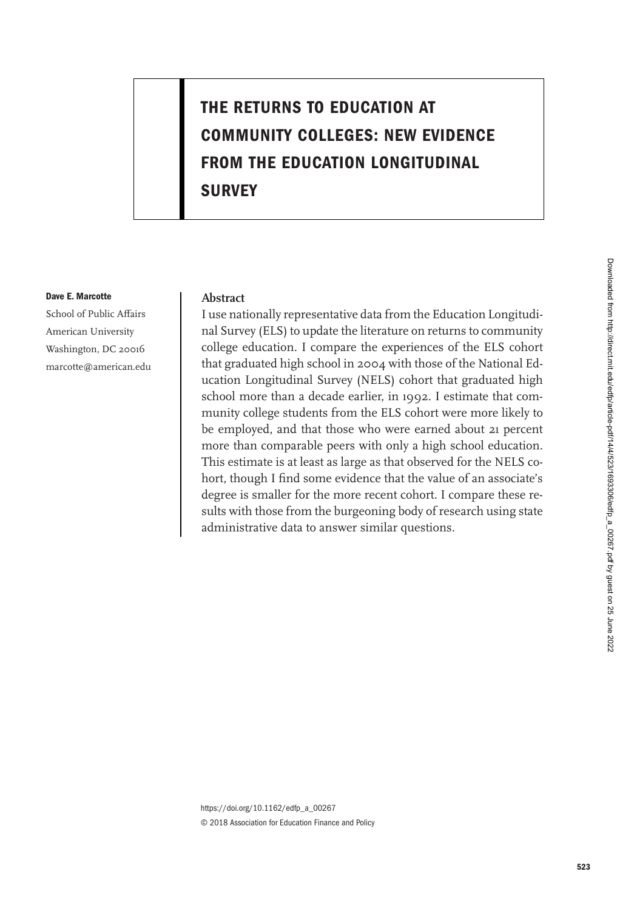# **THE RETURNS TO EDUCATION AT COMMUNITY COLLEGES: NEW EVIDENCE FROM THE EDUCATION LONGITUDINAL SURVEY**

#### **Dave E. Marcotte**

School of Public Affairs American University Washington, DC 20016 marcotte@american.edu

### **Abstract**

I use nationally representative data from the Education Longitudinal Survey (ELS) to update the literature on returns to community college education. I compare the experiences of the ELS cohort that graduated high school in 2004 with those of the National Education Longitudinal Survey (NELS) cohort that graduated high school more than a decade earlier, in 1992. I estimate that community college students from the ELS cohort were more likely to be employed, and that those who were earned about 21 percent more than comparable peers with only a high school education. This estimate is at least as large as that observed for the NELS cohort, though I find some evidence that the value of an associate's degree is smaller for the more recent cohort. I compare these results with those from the burgeoning body of research using state administrative data to answer similar questions.

https://doi.org/10.1162/edfp\_a\_00267 © 2018 Association for Education Finance and Policy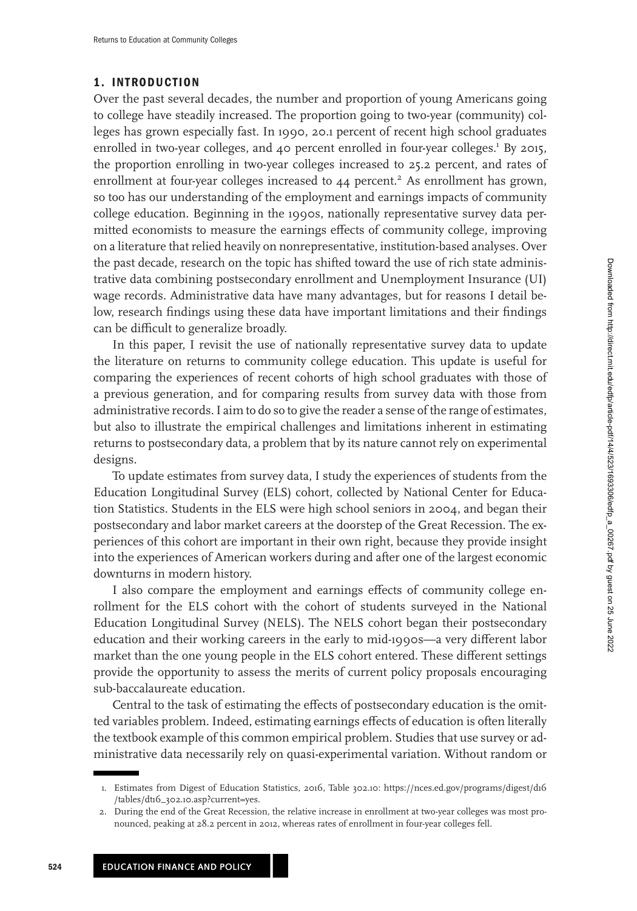### **1. INTRODUCTION**

Over the past several decades, the number and proportion of young Americans going to college have steadily increased. The proportion going to two-year (community) colleges has grown especially fast. In 1990, 20.1 percent of recent high school graduates enrolled in two-year colleges, and 40 percent enrolled in four-year colleges.<sup>1</sup> By 2015, the proportion enrolling in two-year colleges increased to 25.2 percent, and rates of enrollment at four-year colleges increased to  $44$  percent.<sup>2</sup> As enrollment has grown, so too has our understanding of the employment and earnings impacts of community college education. Beginning in the 1990s, nationally representative survey data permitted economists to measure the earnings effects of community college, improving on a literature that relied heavily on nonrepresentative, institution-based analyses. Over the past decade, research on the topic has shifted toward the use of rich state administrative data combining postsecondary enrollment and Unemployment Insurance (UI) wage records. Administrative data have many advantages, but for reasons I detail below, research findings using these data have important limitations and their findings can be difficult to generalize broadly.

In this paper, I revisit the use of nationally representative survey data to update the literature on returns to community college education. This update is useful for comparing the experiences of recent cohorts of high school graduates with those of a previous generation, and for comparing results from survey data with those from administrative records. I aim to do so to give the reader a sense of the range of estimates, but also to illustrate the empirical challenges and limitations inherent in estimating returns to postsecondary data, a problem that by its nature cannot rely on experimental designs.

To update estimates from survey data, I study the experiences of students from the Education Longitudinal Survey (ELS) cohort, collected by National Center for Education Statistics. Students in the ELS were high school seniors in 2004, and began their postsecondary and labor market careers at the doorstep of the Great Recession. The experiences of this cohort are important in their own right, because they provide insight into the experiences of American workers during and after one of the largest economic downturns in modern history.

I also compare the employment and earnings effects of community college enrollment for the ELS cohort with the cohort of students surveyed in the National Education Longitudinal Survey (NELS). The NELS cohort began their postsecondary education and their working careers in the early to mid-1990s—a very different labor market than the one young people in the ELS cohort entered. These different settings provide the opportunity to assess the merits of current policy proposals encouraging sub-baccalaureate education.

Central to the task of estimating the effects of postsecondary education is the omitted variables problem. Indeed, estimating earnings effects of education is often literally the textbook example of this common empirical problem. Studies that use survey or administrative data necessarily rely on quasi-experimental variation. Without random or

<sup>1.</sup> [Estimates from Digest of Education Statistics, 2016, Table 302.10: https://nces.ed.gov/programs/digest/d16](https://nces.ed.gov/programs/digest/d16/tables/dt16_302.10.asp?current=yes) /tables/dt16\_302.10.asp?current=yes.

<sup>2.</sup> During the end of the Great Recession, the relative increase in enrollment at two-year colleges was most pronounced, peaking at 28.2 percent in 2012, whereas rates of enrollment in four-year colleges fell.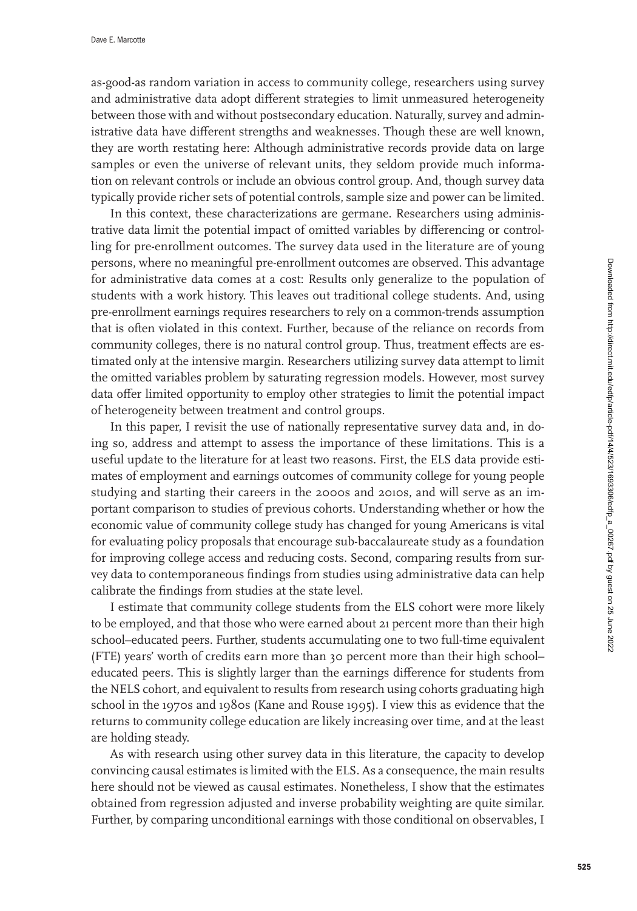as-good-as random variation in access to community college, researchers using survey and administrative data adopt different strategies to limit unmeasured heterogeneity between those with and without postsecondary education. Naturally, survey and administrative data have different strengths and weaknesses. Though these are well known, they are worth restating here: Although administrative records provide data on large samples or even the universe of relevant units, they seldom provide much information on relevant controls or include an obvious control group. And, though survey data typically provide richer sets of potential controls, sample size and power can be limited.

In this context, these characterizations are germane. Researchers using administrative data limit the potential impact of omitted variables by differencing or controlling for pre-enrollment outcomes. The survey data used in the literature are of young persons, where no meaningful pre-enrollment outcomes are observed. This advantage for administrative data comes at a cost: Results only generalize to the population of students with a work history. This leaves out traditional college students. And, using pre-enrollment earnings requires researchers to rely on a common-trends assumption that is often violated in this context. Further, because of the reliance on records from community colleges, there is no natural control group. Thus, treatment effects are estimated only at the intensive margin. Researchers utilizing survey data attempt to limit the omitted variables problem by saturating regression models. However, most survey data offer limited opportunity to employ other strategies to limit the potential impact of heterogeneity between treatment and control groups.

In this paper, I revisit the use of nationally representative survey data and, in doing so, address and attempt to assess the importance of these limitations. This is a useful update to the literature for at least two reasons. First, the ELS data provide estimates of employment and earnings outcomes of community college for young people studying and starting their careers in the 2000s and 2010s, and will serve as an important comparison to studies of previous cohorts. Understanding whether or how the economic value of community college study has changed for young Americans is vital for evaluating policy proposals that encourage sub-baccalaureate study as a foundation for improving college access and reducing costs. Second, comparing results from survey data to contemporaneous findings from studies using administrative data can help calibrate the findings from studies at the state level.

I estimate that community college students from the ELS cohort were more likely to be employed, and that those who were earned about 21 percent more than their high school–educated peers. Further, students accumulating one to two full-time equivalent (FTE) years' worth of credits earn more than 30 percent more than their high school– educated peers. This is slightly larger than the earnings difference for students from the NELS cohort, and equivalent to results from research using cohorts graduating high school in the 1970s and 1980s (Kane and Rouse [1995\)](#page-23-0). I view this as evidence that the returns to community college education are likely increasing over time, and at the least are holding steady.

As with research using other survey data in this literature, the capacity to develop convincing causal estimates is limited with the ELS. As a consequence, the main results here should not be viewed as causal estimates. Nonetheless, I show that the estimates obtained from regression adjusted and inverse probability weighting are quite similar. Further, by comparing unconditional earnings with those conditional on observables, I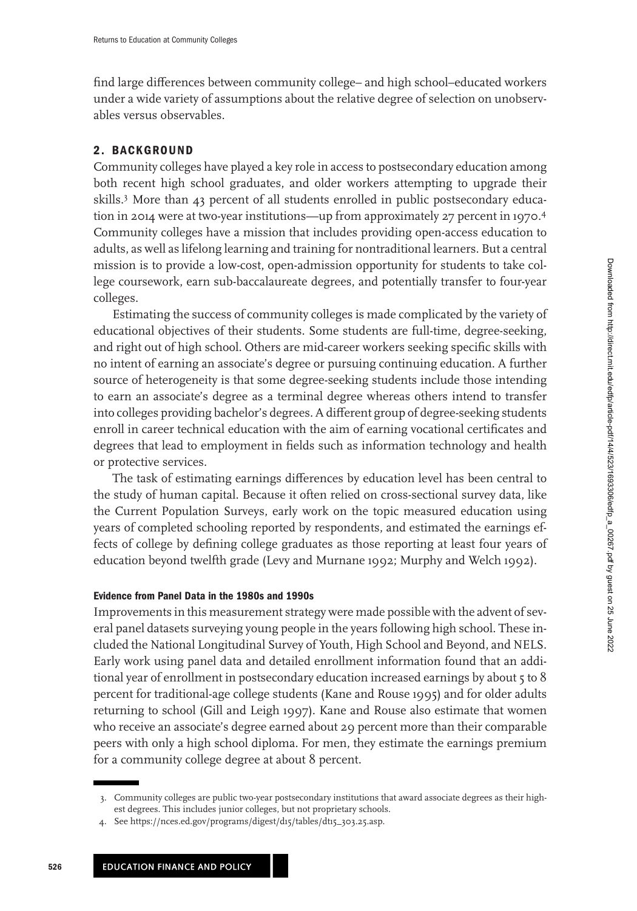find large differences between community college– and high school–educated workers under a wide variety of assumptions about the relative degree of selection on unobservables versus observables.

# **2. BACKGROUND**

Community colleges have played a key role in access to postsecondary education among both recent high school graduates, and older workers attempting to upgrade their skills.3 More than 43 percent of all students enrolled in public postsecondary education in 2014 were at two-year institutions—up from approximately 27 percent in 1970.<sup>4</sup> Community colleges have a mission that includes providing open-access education to adults, as well as lifelong learning and training for nontraditional learners. But a central mission is to provide a low-cost, open-admission opportunity for students to take college coursework, earn sub-baccalaureate degrees, and potentially transfer to four-year colleges.

Estimating the success of community colleges is made complicated by the variety of educational objectives of their students. Some students are full-time, degree-seeking, and right out of high school. Others are mid-career workers seeking specific skills with no intent of earning an associate's degree or pursuing continuing education. A further source of heterogeneity is that some degree-seeking students include those intending to earn an associate's degree as a terminal degree whereas others intend to transfer into colleges providing bachelor's degrees. A different group of degree-seeking students enroll in career technical education with the aim of earning vocational certificates and degrees that lead to employment in fields such as information technology and health or protective services.

The task of estimating earnings differences by education level has been central to the study of human capital. Because it often relied on cross-sectional survey data, like the Current Population Surveys, early work on the topic measured education using years of completed schooling reported by respondents, and estimated the earnings effects of college by defining college graduates as those reporting at least four years of education beyond twelfth grade (Levy and Murnane [1992;](#page-23-0) Murphy and Welch [1992\)](#page-24-0).

### **Evidence from Panel Data in the 1980s and 1990s**

Improvements in this measurement strategy were made possible with the advent of several panel datasets surveying young people in the years following high school. These included the National Longitudinal Survey of Youth, High School and Beyond, and NELS. Early work using panel data and detailed enrollment information found that an additional year of enrollment in postsecondary education increased earnings by about 5 to 8 percent for traditional-age college students (Kane and Rouse [1995\)](#page-23-0) and for older adults returning to school (Gill and Leigh [1997\)](#page-23-0). Kane and Rouse also estimate that women who receive an associate's degree earned about 29 percent more than their comparable peers with only a high school diploma. For men, they estimate the earnings premium for a community college degree at about 8 percent.

<sup>3.</sup> Community colleges are public two-year postsecondary institutions that award associate degrees as their highest degrees. This includes junior colleges, but not proprietary schools.

See [https://nces.ed.gov/programs/digest/d15/tables/dt15\\_303.25.asp.](https://nces.ed.gov/programs/digest/d15/tables/dt15_303.25.asp)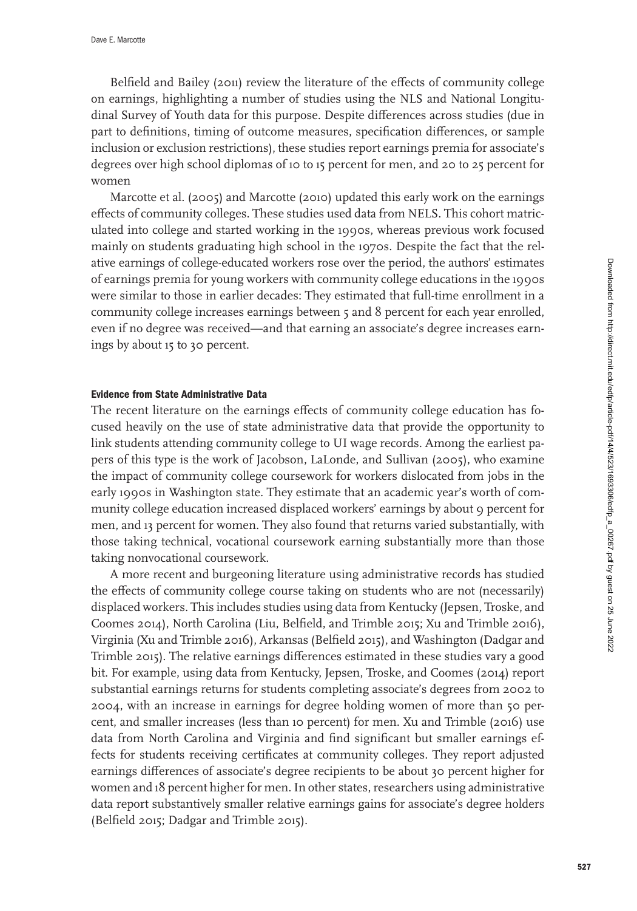Belfield and Bailey [\(2011\)](#page-23-0) review the literature of the effects of community college on earnings, highlighting a number of studies using the NLS and National Longitudinal Survey of Youth data for this purpose. Despite differences across studies (due in part to definitions, timing of outcome measures, specification differences, or sample inclusion or exclusion restrictions), these studies report earnings premia for associate's degrees over high school diplomas of 10 to 15 percent for men, and 20 to 25 percent for women

Marcotte et al. [\(2005\)](#page-24-0) and Marcotte [\(2010\)](#page-24-0) updated this early work on the earnings effects of community colleges. These studies used data from NELS. This cohort matriculated into college and started working in the 1990s, whereas previous work focused mainly on students graduating high school in the 1970s. Despite the fact that the relative earnings of college-educated workers rose over the period, the authors' estimates of earnings premia for young workers with community college educations in the 1990s were similar to those in earlier decades: They estimated that full-time enrollment in a community college increases earnings between 5 and 8 percent for each year enrolled, even if no degree was received—and that earning an associate's degree increases earnings by about 15 to 30 percent.

#### **Evidence from State Administrative Data**

The recent literature on the earnings effects of community college education has focused heavily on the use of state administrative data that provide the opportunity to link students attending community college to UI wage records. Among the earliest papers of this type is the work of Jacobson, LaLonde, and Sullivan [\(2005\)](#page-23-0), who examine the impact of community college coursework for workers dislocated from jobs in the early 1990s in Washington state. They estimate that an academic year's worth of community college education increased displaced workers' earnings by about 9 percent for men, and 13 percent for women. They also found that returns varied substantially, with those taking technical, vocational coursework earning substantially more than those taking nonvocational coursework.

A more recent and burgeoning literature using administrative records has studied the effects of community college course taking on students who are not (necessarily) displaced workers. This includes studies using data from Kentucky (Jepsen, Troske, and Coomes [2014\)](#page-23-0), North Carolina (Liu, Belfield, and Trimble [2015;](#page-24-0) Xu and Trimble [2016\)](#page-24-0), Virginia (Xu and Trimble [2016\)](#page-24-0), Arkansas (Belfield [2015\)](#page-23-0), and Washington (Dadgar and Trimble [2015\)](#page-23-0). The relative earnings differences estimated in these studies vary a good bit. For example, using data from Kentucky, Jepsen, Troske, and Coomes [\(2014\)](#page-23-0) report substantial earnings returns for students completing associate's degrees from 2002 to 2004, with an increase in earnings for degree holding women of more than 50 percent, and smaller increases (less than 10 percent) for men. Xu and Trimble [\(2016\)](#page-24-0) use data from North Carolina and Virginia and find significant but smaller earnings effects for students receiving certificates at community colleges. They report adjusted earnings differences of associate's degree recipients to be about 30 percent higher for women and 18 percent higher for men. In other states, researchers using administrative data report substantively smaller relative earnings gains for associate's degree holders (Belfield [2015;](#page-23-0) Dadgar and Trimble [2015\)](#page-23-0).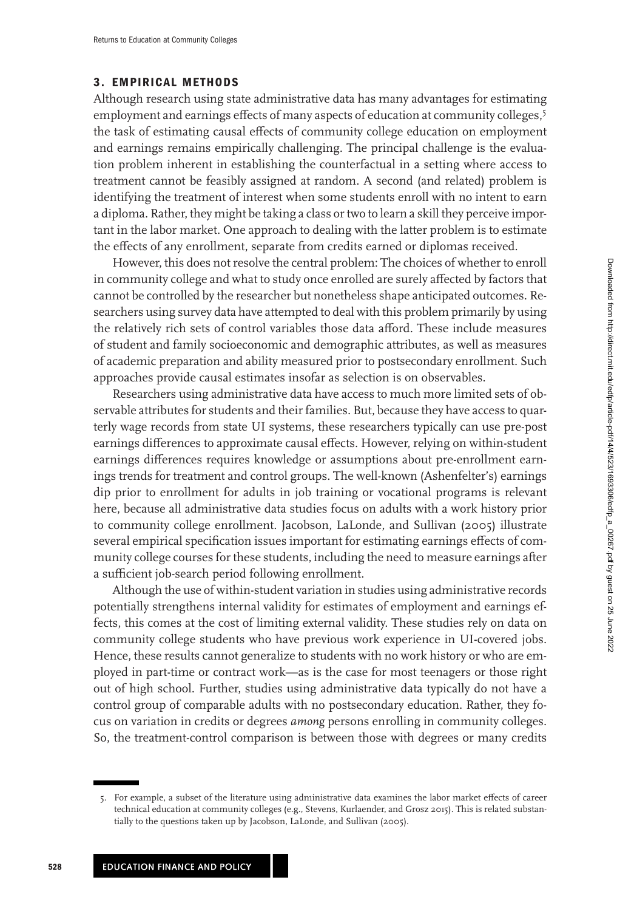## **3. EMPIRICAL METHODS**

Although research using state administrative data has many advantages for estimating employment and earnings effects of many aspects of education at community colleges,<sup>5</sup> the task of estimating causal effects of community college education on employment and earnings remains empirically challenging. The principal challenge is the evaluation problem inherent in establishing the counterfactual in a setting where access to treatment cannot be feasibly assigned at random. A second (and related) problem is identifying the treatment of interest when some students enroll with no intent to earn a diploma. Rather, they might be taking a class or two to learn a skill they perceive important in the labor market. One approach to dealing with the latter problem is to estimate the effects of any enrollment, separate from credits earned or diplomas received.

However, this does not resolve the central problem: The choices of whether to enroll in community college and what to study once enrolled are surely affected by factors that cannot be controlled by the researcher but nonetheless shape anticipated outcomes. Researchers using survey data have attempted to deal with this problem primarily by using the relatively rich sets of control variables those data afford. These include measures of student and family socioeconomic and demographic attributes, as well as measures of academic preparation and ability measured prior to postsecondary enrollment. Such approaches provide causal estimates insofar as selection is on observables.

Researchers using administrative data have access to much more limited sets of observable attributes for students and their families. But, because they have access to quarterly wage records from state UI systems, these researchers typically can use pre-post earnings differences to approximate causal effects. However, relying on within-student earnings differences requires knowledge or assumptions about pre-enrollment earnings trends for treatment and control groups. The well-known (Ashenfelter's) earnings dip prior to enrollment for adults in job training or vocational programs is relevant here, because all administrative data studies focus on adults with a work history prior to community college enrollment. Jacobson, LaLonde, and Sullivan [\(2005\)](#page-23-0) illustrate several empirical specification issues important for estimating earnings effects of community college courses for these students, including the need to measure earnings after a sufficient job-search period following enrollment.

Although the use of within-student variation in studies using administrative records potentially strengthens internal validity for estimates of employment and earnings effects, this comes at the cost of limiting external validity. These studies rely on data on community college students who have previous work experience in UI-covered jobs. Hence, these results cannot generalize to students with no work history or who are employed in part-time or contract work—as is the case for most teenagers or those right out of high school. Further, studies using administrative data typically do not have a control group of comparable adults with no postsecondary education. Rather, they focus on variation in credits or degrees *among* persons enrolling in community colleges. So, the treatment-control comparison is between those with degrees or many credits

<sup>5.</sup> For example, a subset of the literature using administrative data examines the labor market effects of career technical education at community colleges (e.g., Stevens, Kurlaender, and Grosz [2015\)](#page-24-0). This is related substantially to the questions taken up by Jacobson, LaLonde, and Sullivan [\(2005\)](#page-23-0).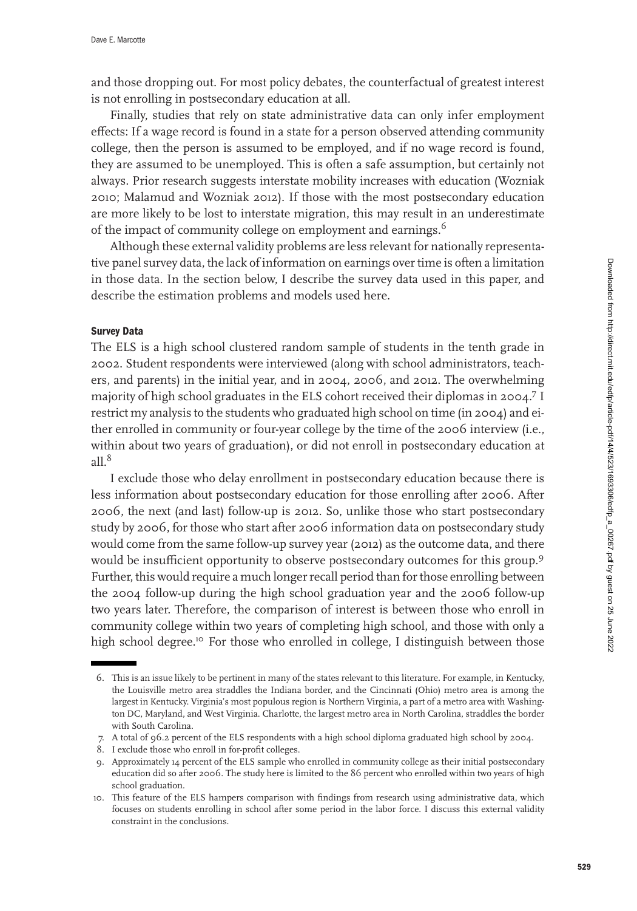and those dropping out. For most policy debates, the counterfactual of greatest interest is not enrolling in postsecondary education at all.

Finally, studies that rely on state administrative data can only infer employment effects: If a wage record is found in a state for a person observed attending community college, then the person is assumed to be employed, and if no wage record is found, they are assumed to be unemployed. This is often a safe assumption, but certainly not always. Prior research suggests interstate mobility increases with education (Wozniak [2010;](#page-24-0) Malamud and Wozniak [2012\)](#page-24-0). If those with the most postsecondary education are more likely to be lost to interstate migration, this may result in an underestimate of the impact of community college on employment and earnings.<sup>6</sup>

Although these external validity problems are less relevant for nationally representative panel survey data, the lack of information on earnings over time is often a limitation in those data. In the section below, I describe the survey data used in this paper, and describe the estimation problems and models used here.

### **Survey Data**

The ELS is a high school clustered random sample of students in the tenth grade in 2002. Student respondents were interviewed (along with school administrators, teachers, and parents) in the initial year, and in 2004, 2006, and 2012. The overwhelming majority of high school graduates in the ELS cohort received their diplomas in 2004.<sup>7</sup> I restrict my analysis to the students who graduated high school on time (in 2004) and either enrolled in community or four-year college by the time of the 2006 interview (i.e., within about two years of graduation), or did not enroll in postsecondary education at  $all.^8$ 

I exclude those who delay enrollment in postsecondary education because there is less information about postsecondary education for those enrolling after 2006. After 2006, the next (and last) follow-up is 2012. So, unlike those who start postsecondary study by 2006, for those who start after 2006 information data on postsecondary study would come from the same follow-up survey year (2012) as the outcome data, and there would be insufficient opportunity to observe postsecondary outcomes for this group.<sup>9</sup> Further, this would require a much longer recall period than for those enrolling between the 2004 follow-up during the high school graduation year and the 2006 follow-up two years later. Therefore, the comparison of interest is between those who enroll in community college within two years of completing high school, and those with only a high school degree.<sup>10</sup> For those who enrolled in college, I distinguish between those

<sup>6.</sup> This is an issue likely to be pertinent in many of the states relevant to this literature. For example, in Kentucky, the Louisville metro area straddles the Indiana border, and the Cincinnati (Ohio) metro area is among the largest in Kentucky. Virginia's most populous region is Northern Virginia, a part of a metro area with Washington DC, Maryland, and West Virginia. Charlotte, the largest metro area in North Carolina, straddles the border with South Carolina.

<sup>7.</sup> A total of 96.2 percent of the ELS respondents with a high school diploma graduated high school by 2004.

<sup>8.</sup> I exclude those who enroll in for-profit colleges.

<sup>9.</sup> Approximately 14 percent of the ELS sample who enrolled in community college as their initial postsecondary education did so after 2006. The study here is limited to the 86 percent who enrolled within two years of high school graduation.

<sup>10.</sup> This feature of the ELS hampers comparison with findings from research using administrative data, which focuses on students enrolling in school after some period in the labor force. I discuss this external validity constraint in the conclusions.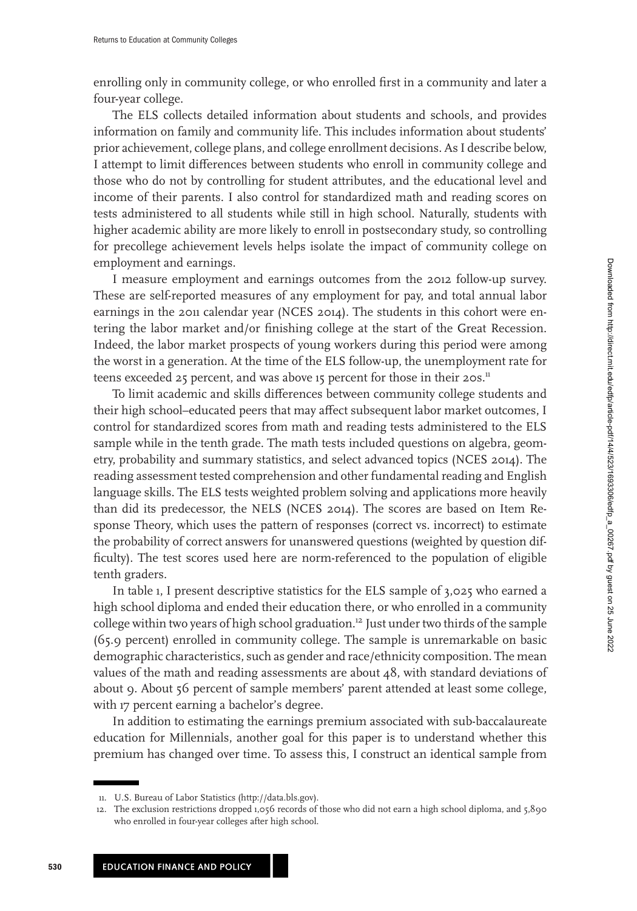enrolling only in community college, or who enrolled first in a community and later a four-year college.

The ELS collects detailed information about students and schools, and provides information on family and community life. This includes information about students' prior achievement, college plans, and college enrollment decisions. As I describe below, I attempt to limit differences between students who enroll in community college and those who do not by controlling for student attributes, and the educational level and income of their parents. I also control for standardized math and reading scores on tests administered to all students while still in high school. Naturally, students with higher academic ability are more likely to enroll in postsecondary study, so controlling for precollege achievement levels helps isolate the impact of community college on employment and earnings.

I measure employment and earnings outcomes from the 2012 follow-up survey. These are self-reported measures of any employment for pay, and total annual labor earnings in the 2011 calendar year (NCES [2014\)](#page-24-0). The students in this cohort were entering the labor market and/or finishing college at the start of the Great Recession. Indeed, the labor market prospects of young workers during this period were among the worst in a generation. At the time of the ELS follow-up, the unemployment rate for teens exceeded 25 percent, and was above 15 percent for those in their 20s.<sup>11</sup>

To limit academic and skills differences between community college students and their high school–educated peers that may affect subsequent labor market outcomes, I control for standardized scores from math and reading tests administered to the ELS sample while in the tenth grade. The math tests included questions on algebra, geometry, probability and summary statistics, and select advanced topics (NCES [2014\)](#page-24-0). The reading assessment tested comprehension and other fundamental reading and English language skills. The ELS tests weighted problem solving and applications more heavily than did its predecessor, the NELS (NCES [2014\)](#page-24-0). The scores are based on Item Response Theory, which uses the pattern of responses (correct vs. incorrect) to estimate the probability of correct answers for unanswered questions (weighted by question difficulty). The test scores used here are norm-referenced to the population of eligible tenth graders.

In table [1,](#page-8-0) I present descriptive statistics for the ELS sample of 3,025 who earned a high school diploma and ended their education there, or who enrolled in a community college within two years of high school graduation.<sup>12</sup> Just under two thirds of the sample (65.9 percent) enrolled in community college. The sample is unremarkable on basic demographic characteristics, such as gender and race/ethnicity composition. The mean values of the math and reading assessments are about 48, with standard deviations of about 9. About 56 percent of sample members' parent attended at least some college, with 17 percent earning a bachelor's degree.

In addition to estimating the earnings premium associated with sub-baccalaureate education for Millennials, another goal for this paper is to understand whether this premium has changed over time. To assess this, I construct an identical sample from

<sup>11.</sup> U.S. Bureau of Labor Statistics [\(http://data.bls.gov\)](http://data.bls.gov).

<sup>12.</sup> The exclusion restrictions dropped 1,056 records of those who did not earn a high school diploma, and 5,890 who enrolled in four-year colleges after high school.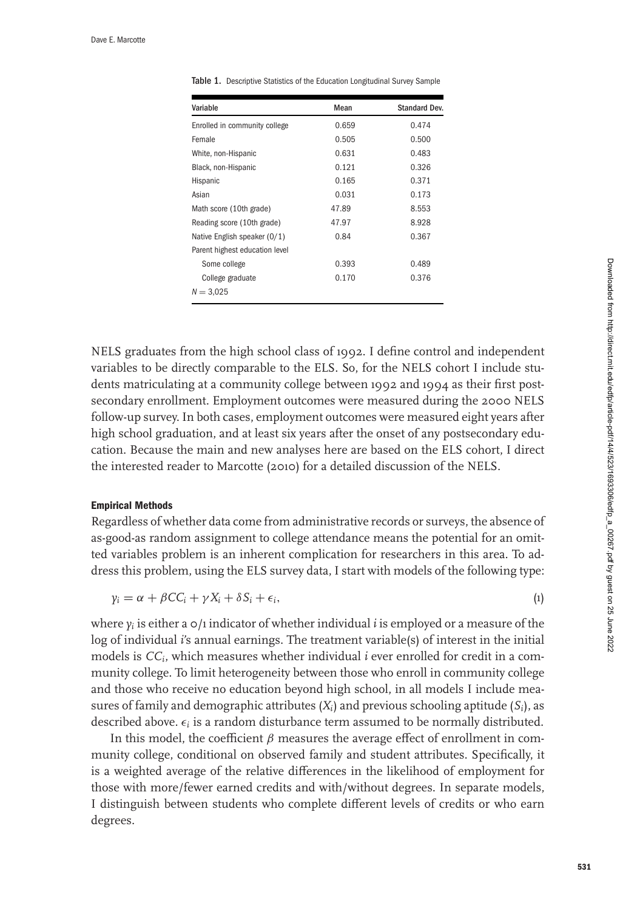| Variable                       | Mean  | Standard Dev. |
|--------------------------------|-------|---------------|
| Enrolled in community college  | 0.659 | 0.474         |
| Female                         | 0.505 | 0.500         |
| White, non-Hispanic            | 0.631 | 0.483         |
| Black, non-Hispanic            | 0.121 | 0.326         |
| Hispanic                       | 0.165 | 0.371         |
| Asian                          | 0.031 | 0.173         |
| Math score (10th grade)        | 47.89 | 8.553         |
| Reading score (10th grade)     | 47.97 | 8.928         |
| Native English speaker (0/1)   | 0.84  | 0.367         |
| Parent highest education level |       |               |
| Some college                   | 0.393 | 0.489         |
| College graduate               | 0.170 | 0.376         |
| $N = 3,025$                    |       |               |

<span id="page-8-0"></span>Table 1. Descriptive Statistics of the Education Longitudinal Survey Sample

NELS graduates from the high school class of 1992. I define control and independent variables to be directly comparable to the ELS. So, for the NELS cohort I include students matriculating at a community college between 1992 and 1994 as their first postsecondary enrollment. Employment outcomes were measured during the 2000 NELS follow-up survey. In both cases, employment outcomes were measured eight years after high school graduation, and at least six years after the onset of any postsecondary education. Because the main and new analyses here are based on the ELS cohort, I direct the interested reader to Marcotte [\(2010\)](#page-24-0) for a detailed discussion of the NELS.

### **Empirical Methods**

Regardless of whether data come from administrative records or surveys, the absence of as-good-as random assignment to college attendance means the potential for an omitted variables problem is an inherent complication for researchers in this area. To address this problem, using the ELS survey data, I start with models of the following type:

$$
y_i = \alpha + \beta CC_i + \gamma X_i + \delta S_i + \epsilon_i,
$$
\n<sup>(1)</sup>

where  $y_i$  is either a  $\phi/1$  indicator of whether individual *i* is employed or a measure of the log of individual *i'*s annual earnings. The treatment variable(s) of interest in the initial models is *CCi*, which measures whether individual *i* ever enrolled for credit in a community college. To limit heterogeneity between those who enroll in community college and those who receive no education beyond high school, in all models I include measures of family and demographic attributes (*Xi*) and previous schooling aptitude (*Si*), as described above.  $\epsilon_i$  is a random disturbance term assumed to be normally distributed.

In this model, the coefficient  $\beta$  measures the average effect of enrollment in community college, conditional on observed family and student attributes. Specifically, it is a weighted average of the relative differences in the likelihood of employment for those with more/fewer earned credits and with/without degrees. In separate models, I distinguish between students who complete different levels of credits or who earn degrees.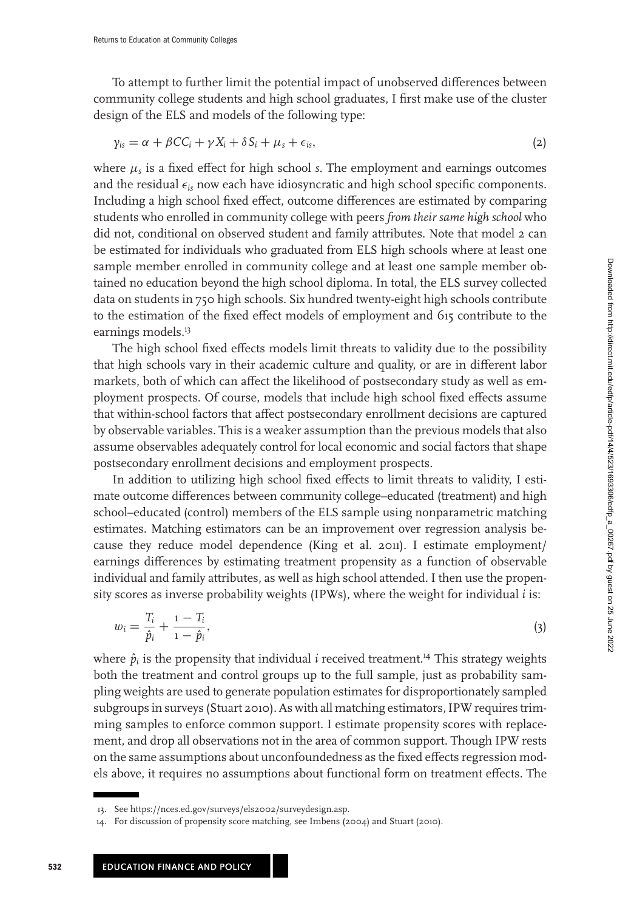To attempt to further limit the potential impact of unobserved differences between community college students and high school graduates, I first make use of the cluster design of the ELS and models of the following type:

$$
\gamma_{is} = \alpha + \beta CC_i + \gamma X_i + \delta S_i + \mu_s + \epsilon_{is},\tag{2}
$$

where  $\mu_s$  is a fixed effect for high school *s*. The employment and earnings outcomes and the residual  $\epsilon_{is}$  now each have idiosyncratic and high school specific components. Including a high school fixed effect, outcome differences are estimated by comparing students who enrolled in community college with peers *from their same high school* who did not, conditional on observed student and family attributes. Note that model 2 can be estimated for individuals who graduated from ELS high schools where at least one sample member enrolled in community college and at least one sample member obtained no education beyond the high school diploma. In total, the ELS survey collected data on students in 750 high schools. Six hundred twenty-eight high schools contribute to the estimation of the fixed effect models of employment and 615 contribute to the earnings models.<sup>13</sup>

The high school fixed effects models limit threats to validity due to the possibility that high schools vary in their academic culture and quality, or are in different labor markets, both of which can affect the likelihood of postsecondary study as well as employment prospects. Of course, models that include high school fixed effects assume that within-school factors that affect postsecondary enrollment decisions are captured by observable variables. This is a weaker assumption than the previous models that also assume observables adequately control for local economic and social factors that shape postsecondary enrollment decisions and employment prospects.

In addition to utilizing high school fixed effects to limit threats to validity, I estimate outcome differences between community college–educated (treatment) and high school–educated (control) members of the ELS sample using nonparametric matching estimates. Matching estimators can be an improvement over regression analysis because they reduce model dependence (King et al. [2011\)](#page-23-0). I estimate employment/ earnings differences by estimating treatment propensity as a function of observable individual and family attributes, as well as high school attended. I then use the propensity scores as inverse probability weights (IPWs), where the weight for individual *i* is:

$$
w_i = \frac{T_i}{\hat{p}_i} + \frac{1 - T_i}{1 - \hat{p}_i},\tag{3}
$$

where  $\hat{p}_i$  is the propensity that individual *i* received treatment.<sup>14</sup> This strategy weights both the treatment and control groups up to the full sample, just as probability sampling weights are used to generate population estimates for disproportionately sampled subgroups in surveys (Stuart [2010\)](#page-24-0). As with all matching estimators, IPW requires trimming samples to enforce common support. I estimate propensity scores with replacement, and drop all observations not in the area of common support. Though IPW rests on the same assumptions about unconfoundedness as the fixed effects regression models above, it requires no assumptions about functional form on treatment effects. The

<sup>13.</sup> See [https://nces.ed.gov/surveys/els2002/surveydesign.asp.](https://nces.ed.gov/surveys/els2002/surveydesign.asp)

<sup>14.</sup> For discussion of propensity score matching, see Imbens [\(2004\)](#page-23-0) and Stuart [\(2010\)](#page-24-0).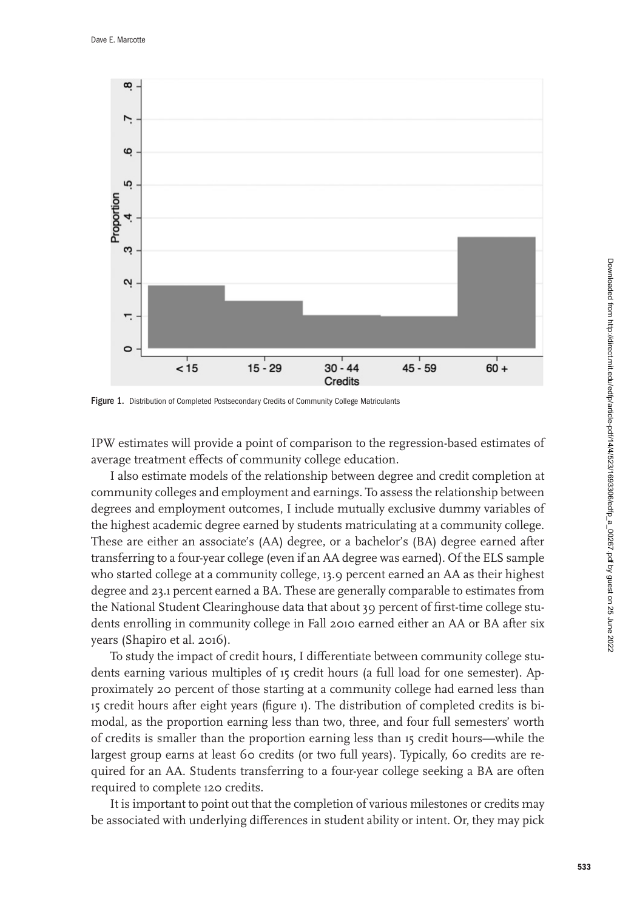

Figure 1. Distribution of Completed Postsecondary Credits of Community College Matriculants

IPW estimates will provide a point of comparison to the regression-based estimates of average treatment effects of community college education.

I also estimate models of the relationship between degree and credit completion at community colleges and employment and earnings. To assess the relationship between degrees and employment outcomes, I include mutually exclusive dummy variables of the highest academic degree earned by students matriculating at a community college. These are either an associate's (AA) degree, or a bachelor's (BA) degree earned after transferring to a four-year college (even if an AA degree was earned). Of the ELS sample who started college at a community college, 13.9 percent earned an AA as their highest degree and 23.1 percent earned a BA. These are generally comparable to estimates from the National Student Clearinghouse data that about 39 percent of first-time college students enrolling in community college in Fall 2010 earned either an AA or BA after six years (Shapiro et al. [2016\)](#page-24-0).

To study the impact of credit hours, I differentiate between community college students earning various multiples of 15 credit hours (a full load for one semester). Approximately 20 percent of those starting at a community college had earned less than 15 credit hours after eight years (figure 1). The distribution of completed credits is bimodal, as the proportion earning less than two, three, and four full semesters' worth of credits is smaller than the proportion earning less than 15 credit hours—while the largest group earns at least 60 credits (or two full years). Typically, 60 credits are required for an AA. Students transferring to a four-year college seeking a BA are often required to complete 120 credits.

It is important to point out that the completion of various milestones or credits may be associated with underlying differences in student ability or intent. Or, they may pick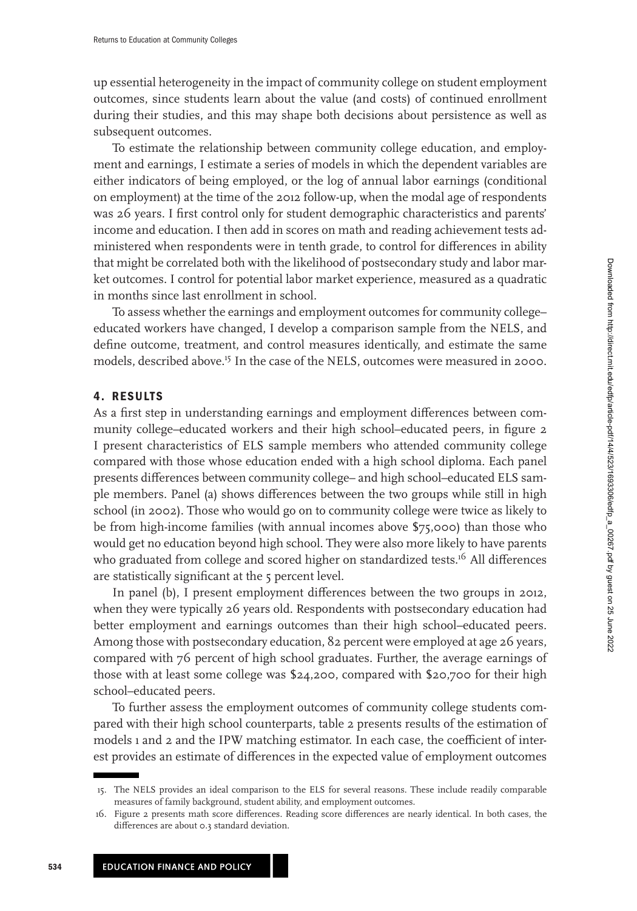up essential heterogeneity in the impact of community college on student employment outcomes, since students learn about the value (and costs) of continued enrollment during their studies, and this may shape both decisions about persistence as well as subsequent outcomes.

To estimate the relationship between community college education, and employment and earnings, I estimate a series of models in which the dependent variables are either indicators of being employed, or the log of annual labor earnings (conditional on employment) at the time of the 2012 follow-up, when the modal age of respondents was 26 years. I first control only for student demographic characteristics and parents' income and education. I then add in scores on math and reading achievement tests administered when respondents were in tenth grade, to control for differences in ability that might be correlated both with the likelihood of postsecondary study and labor market outcomes. I control for potential labor market experience, measured as a quadratic in months since last enrollment in school.

To assess whether the earnings and employment outcomes for community college– educated workers have changed, I develop a comparison sample from the NELS, and define outcome, treatment, and control measures identically, and estimate the same models, described above.15 In the case of the NELS, outcomes were measured in 2000.

# **4. RESULTS**

As a first step in understanding earnings and employment differences between community college–educated workers and their high school–educated peers, in figure [2](#page-12-0) I present characteristics of ELS sample members who attended community college compared with those whose education ended with a high school diploma. Each panel presents differences between community college– and high school–educated ELS sample members. Panel (a) shows differences between the two groups while still in high school (in 2002). Those who would go on to community college were twice as likely to be from high-income families (with annual incomes above \$75,000) than those who would get no education beyond high school. They were also more likely to have parents who graduated from college and scored higher on standardized tests.<sup>16</sup> All differences are statistically significant at the 5 percent level.

In panel (b), I present employment differences between the two groups in 2012, when they were typically 26 years old. Respondents with postsecondary education had better employment and earnings outcomes than their high school–educated peers. Among those with postsecondary education, 82 percent were employed at age 26 years, compared with 76 percent of high school graduates. Further, the average earnings of those with at least some college was \$24,200, compared with \$20,700 for their high school–educated peers.

To further assess the employment outcomes of community college students compared with their high school counterparts, table [2](#page-13-0) presents results of the estimation of models 1 and 2 and the IPW matching estimator. In each case, the coefficient of interest provides an estimate of differences in the expected value of employment outcomes

<sup>15.</sup> The NELS provides an ideal comparison to the ELS for several reasons. These include readily comparable measures of family background, student ability, and employment outcomes.

<sup>16.</sup> Figure [2](#page-12-0) presents math score differences. Reading score differences are nearly identical. In both cases, the differences are about 0.3 standard deviation.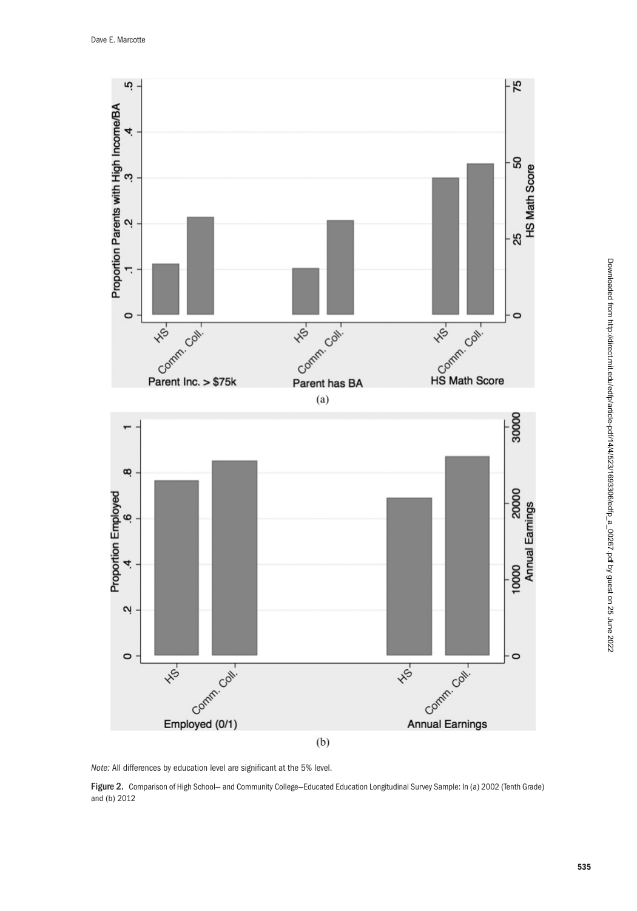<span id="page-12-0"></span>

Note: All differences by education level are significant at the 5% level.

Figure 2. Comparison of High School- and Community College-Educated Education Longitudinal Survey Sample: In (a) 2002 (Tenth Grade) and (b) 2012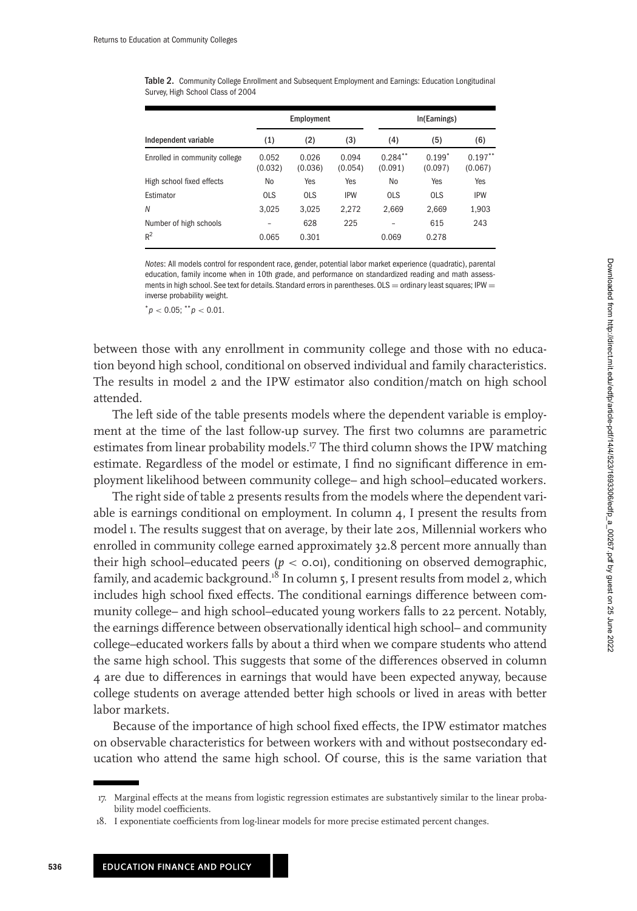|                                 |                  | Employment       |                  |                       | In(Earnings)        |                       |  |
|---------------------------------|------------------|------------------|------------------|-----------------------|---------------------|-----------------------|--|
| Independent variable            | (1)              | (2)              | (3)              | (4)                   | (5)                 | (6)                   |  |
| Enrolled in community college   | 0.052<br>(0.032) | 0.026<br>(0.036) | 0.094<br>(0.054) | $0.284***$<br>(0.091) | $0.199*$<br>(0.097) | $0.197***$<br>(0.067) |  |
| High school fixed effects       | No               | Yes              | Yes              | No                    | Yes                 | Yes                   |  |
| Estimator                       | <b>OLS</b>       | <b>OLS</b>       | <b>IPW</b>       | <b>OLS</b>            | <b>OLS</b>          | <b>IPW</b>            |  |
| N                               | 3.025            | 3.025            | 2.272            | 2.669                 | 2.669               | 1,903                 |  |
| Number of high schools<br>$R^2$ | 0.065            | 628<br>0.301     | 225              | 0.069                 | 615<br>0.278        | 243                   |  |

<span id="page-13-0"></span>Table 2. Community College Enrollment and Subsequent Employment and Earnings: Education Longitudinal Survey, High School Class of 2004

Notes: All models control for respondent race, gender, potential labor market experience (quadratic), parental education, family income when in 10th grade, and performance on standardized reading and math assessments in high school. See text for details. Standard errors in parentheses.  $OLS =$  ordinary least squares; IPW  $=$ inverse probability weight.

 $p < 0.05$ ;  $p < 0.01$ .

between those with any enrollment in community college and those with no education beyond high school, conditional on observed individual and family characteristics. The results in model 2 and the IPW estimator also condition/match on high school attended.

The left side of the table presents models where the dependent variable is employment at the time of the last follow-up survey. The first two columns are parametric estimates from linear probability models.<sup>17</sup> The third column shows the IPW matching estimate. Regardless of the model or estimate, I find no significant difference in employment likelihood between community college– and high school–educated workers.

The right side of table 2 presents results from the models where the dependent variable is earnings conditional on employment. In column 4, I present the results from model 1. The results suggest that on average, by their late 20s, Millennial workers who enrolled in community college earned approximately 32.8 percent more annually than their high school–educated peers  $(p < o.o$ 1), conditioning on observed demographic, family, and academic background.<sup>18</sup> In column 5, I present results from model 2, which includes high school fixed effects. The conditional earnings difference between community college– and high school–educated young workers falls to 22 percent. Notably, the earnings difference between observationally identical high school– and community college–educated workers falls by about a third when we compare students who attend the same high school. This suggests that some of the differences observed in column 4 are due to differences in earnings that would have been expected anyway, because college students on average attended better high schools or lived in areas with better labor markets.

Because of the importance of high school fixed effects, the IPW estimator matches on observable characteristics for between workers with and without postsecondary education who attend the same high school. Of course, this is the same variation that

<sup>17.</sup> Marginal effects at the means from logistic regression estimates are substantively similar to the linear probability model coefficients.

<sup>18.</sup> I exponentiate coefficients from log-linear models for more precise estimated percent changes.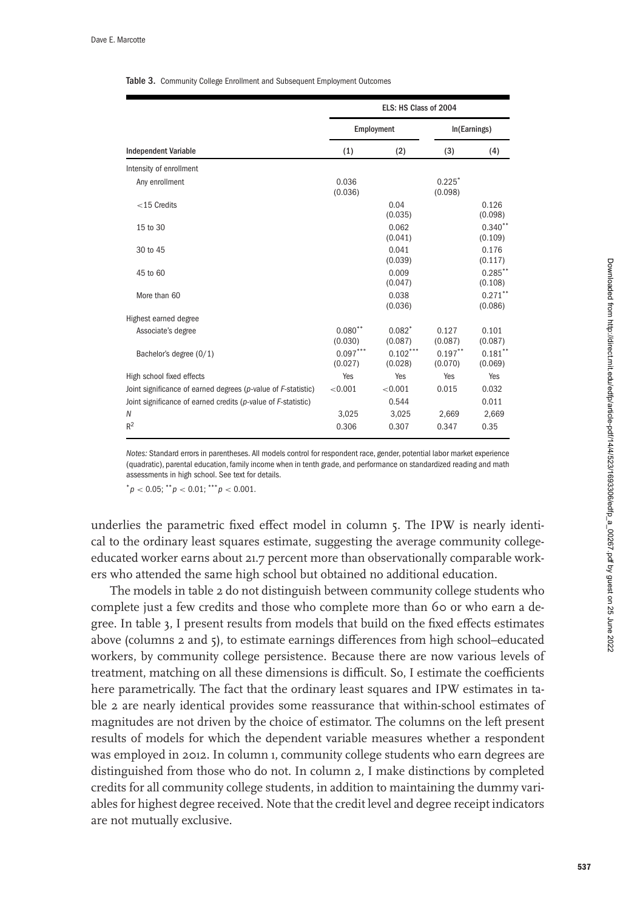#### <span id="page-14-0"></span>Table 3. Community College Enrollment and Subsequent Employment Outcomes

|                                                               | ELS: HS Class of 2004 |                       |                       |                       |
|---------------------------------------------------------------|-----------------------|-----------------------|-----------------------|-----------------------|
|                                                               | Employment            |                       | In(Earnings)          |                       |
| <b>Independent Variable</b>                                   | (1)                   | (2)                   | (3)                   | (4)                   |
| Intensity of enrollment                                       |                       |                       |                       |                       |
| Any enrollment                                                | 0.036<br>(0.036)      |                       | $0.225*$<br>(0.098)   |                       |
| $<$ 15 Credits                                                |                       | 0.04<br>(0.035)       |                       | 0.126<br>(0.098)      |
| 15 to 30                                                      |                       | 0.062<br>(0.041)      |                       | $0.340**$<br>(0.109)  |
| 30 to 45                                                      |                       | 0.041<br>(0.039)      |                       | 0.176<br>(0.117)      |
| 45 to 60                                                      |                       | 0.009<br>(0.047)      |                       | $0.285$ **<br>(0.108) |
| More than 60                                                  |                       | 0.038<br>(0.036)      |                       | $0.271***$<br>(0.086) |
| Highest earned degree                                         |                       |                       |                       |                       |
| Associate's degree                                            | $0.080**$<br>(0.030)  | $0.082*$<br>(0.087)   | 0.127<br>(0.087)      | 0.101<br>(0.087)      |
| Bachelor's degree (0/1)                                       | $0.097***$<br>(0.027) | $0.102***$<br>(0.028) | $0.197***$<br>(0.070) | $0.181***$<br>(0.069) |
| High school fixed effects                                     | Yes                   | Yes                   | Yes                   | Yes                   |
| Joint significance of earned degrees (p-value of F-statistic) | < 0.001               | < 0.001               | 0.015                 | 0.032                 |
| Joint significance of earned credits (p-value of F-statistic) |                       | 0.544                 |                       | 0.011                 |
| N                                                             | 3,025                 | 3,025                 | 2,669                 | 2,669                 |
| $R^2$                                                         | 0.306                 | 0.307                 | 0.347                 | 0.35                  |

Notes: Standard errors in parentheses. All models control for respondent race, gender, potential labor market experience (quadratic), parental education, family income when in tenth grade, and performance on standardized reading and math assessments in high school. See text for details.

 $p < 0.05$ ;  $p < 0.01$ ;  $p > 0.001$ .

underlies the parametric fixed effect model in column 5. The IPW is nearly identical to the ordinary least squares estimate, suggesting the average community collegeeducated worker earns about 21.7 percent more than observationally comparable workers who attended the same high school but obtained no additional education.

The models in table [2](#page-13-0) do not distinguish between community college students who complete just a few credits and those who complete more than 60 or who earn a degree. In table 3, I present results from models that build on the fixed effects estimates above (columns 2 and 5), to estimate earnings differences from high school–educated workers, by community college persistence. Because there are now various levels of treatment, matching on all these dimensions is difficult. So, I estimate the coefficients here parametrically. The fact that the ordinary least squares and IPW estimates in table [2](#page-13-0) are nearly identical provides some reassurance that within-school estimates of magnitudes are not driven by the choice of estimator. The columns on the left present results of models for which the dependent variable measures whether a respondent was employed in 2012. In column 1, community college students who earn degrees are distinguished from those who do not. In column 2, I make distinctions by completed credits for all community college students, in addition to maintaining the dummy variables for highest degree received. Note that the credit level and degree receipt indicators are not mutually exclusive.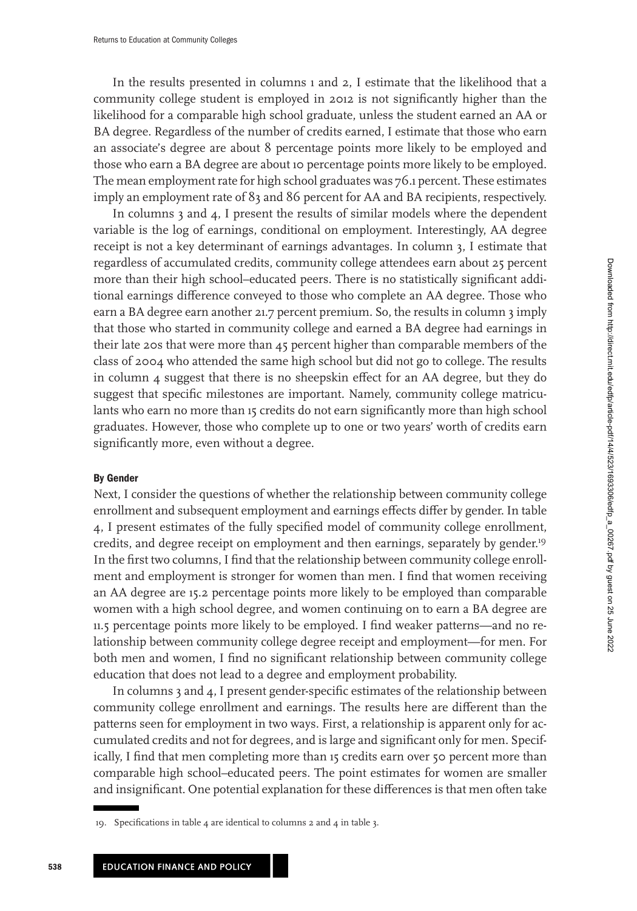In the results presented in columns 1 and 2, I estimate that the likelihood that a community college student is employed in 2012 is not significantly higher than the likelihood for a comparable high school graduate, unless the student earned an AA or BA degree. Regardless of the number of credits earned, I estimate that those who earn an associate's degree are about 8 percentage points more likely to be employed and those who earn a BA degree are about 10 percentage points more likely to be employed. The mean employment rate for high school graduates was 76.1 percent. These estimates imply an employment rate of 83 and 86 percent for AA and BA recipients, respectively.

In columns 3 and 4, I present the results of similar models where the dependent variable is the log of earnings, conditional on employment. Interestingly, AA degree receipt is not a key determinant of earnings advantages. In column 3, I estimate that regardless of accumulated credits, community college attendees earn about 25 percent more than their high school–educated peers. There is no statistically significant additional earnings difference conveyed to those who complete an AA degree. Those who earn a BA degree earn another 21.7 percent premium. So, the results in column 3 imply that those who started in community college and earned a BA degree had earnings in their late 20s that were more than 45 percent higher than comparable members of the class of 2004 who attended the same high school but did not go to college. The results in column 4 suggest that there is no sheepskin effect for an AA degree, but they do suggest that specific milestones are important. Namely, community college matriculants who earn no more than 15 credits do not earn significantly more than high school graduates. However, those who complete up to one or two years' worth of credits earn significantly more, even without a degree.

### **By Gender**

Next, I consider the questions of whether the relationship between community college enrollment and subsequent employment and earnings effects differ by gender. In table [4,](#page-16-0) I present estimates of the fully specified model of community college enrollment, credits, and degree receipt on employment and then earnings, separately by gender.<sup>19</sup> In the first two columns, I find that the relationship between community college enrollment and employment is stronger for women than men. I find that women receiving an AA degree are 15.2 percentage points more likely to be employed than comparable women with a high school degree, and women continuing on to earn a BA degree are 11.5 percentage points more likely to be employed. I find weaker patterns—and no relationship between community college degree receipt and employment—for men. For both men and women, I find no significant relationship between community college education that does not lead to a degree and employment probability.

In columns 3 and 4, I present gender-specific estimates of the relationship between community college enrollment and earnings. The results here are different than the patterns seen for employment in two ways. First, a relationship is apparent only for accumulated credits and not for degrees, and is large and significant only for men. Specifically, I find that men completing more than 15 credits earn over 50 percent more than comparable high school–educated peers. The point estimates for women are smaller and insignificant. One potential explanation for these differences is that men often take

**538**

<sup>19.</sup> Specifications in table [4](#page-16-0) are identical to columns 2 and 4 in table [3.](#page-14-0)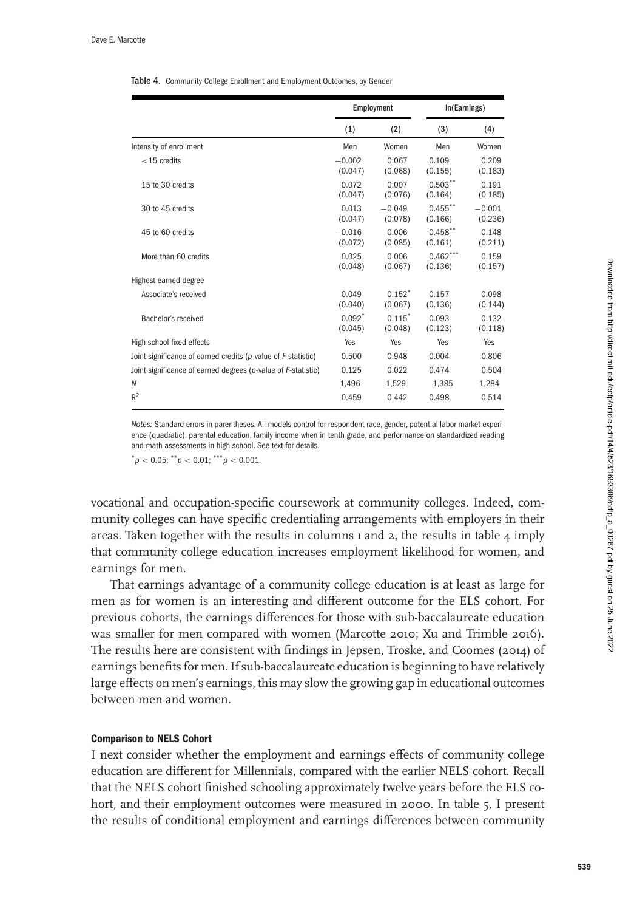#### <span id="page-16-0"></span>Table 4. Community College Enrollment and Employment Outcomes, by Gender

|                                                               | Employment          |                     | In(Earnings)          |                     |
|---------------------------------------------------------------|---------------------|---------------------|-----------------------|---------------------|
|                                                               | (1)                 | (2)                 | (3)                   | (4)                 |
| Intensity of enrollment                                       | Men                 | Women               | Men                   | Women               |
| $<$ 15 credits                                                | $-0.002$<br>(0.047) | 0.067<br>(0.068)    | 0.109<br>(0.155)      | 0.209<br>(0.183)    |
| 15 to 30 credits                                              | 0.072<br>(0.047)    | 0.007<br>(0.076)    | $0.503***$<br>(0.164) | 0.191<br>(0.185)    |
| 30 to 45 credits                                              | 0.013<br>(0.047)    | $-0.049$<br>(0.078) | $0.455$ **<br>(0.166) | $-0.001$<br>(0.236) |
| 45 to 60 credits                                              | $-0.016$<br>(0.072) | 0.006<br>(0.085)    | $0.458$ **<br>(0.161) | 0.148<br>(0.211)    |
| More than 60 credits                                          | 0.025<br>(0.048)    | 0.006<br>(0.067)    | $0.462***$<br>(0.136) | 0.159<br>(0.157)    |
| Highest earned degree                                         |                     |                     |                       |                     |
| Associate's received                                          | 0.049<br>(0.040)    | $0.152*$<br>(0.067) | 0.157<br>(0.136)      | 0.098<br>(0.144)    |
| Bachelor's received                                           | $0.092*$<br>(0.045) | $0.115*$<br>(0.048) | 0.093<br>(0.123)      | 0.132<br>(0.118)    |
| High school fixed effects                                     | Yes                 | Yes                 | Yes                   | Yes                 |
| Joint significance of earned credits (p-value of F-statistic) | 0.500               | 0.948               | 0.004                 | 0.806               |
| Joint significance of earned degrees (p-value of F-statistic) | 0.125               | 0.022               | 0.474                 | 0.504               |
| N                                                             | 1.496               | 1.529               | 1.385                 | 1,284               |
| $R^2$                                                         | 0.459               | 0.442               | 0.498                 | 0.514               |

Notes: Standard errors in parentheses. All models control for respondent race, gender, potential labor market experience (quadratic), parental education, family income when in tenth grade, and performance on standardized reading and math assessments in high school. See text for details.

 $p < 0.05$ ;  $\binom{m}{p} < 0.01$ ;  $\binom{m}{p} < 0.001$ .

vocational and occupation-specific coursework at community colleges. Indeed, community colleges can have specific credentialing arrangements with employers in their areas. Taken together with the results in columns  $\iota$  and  $\iota$ , the results in table  $\iota$  imply that community college education increases employment likelihood for women, and earnings for men.

That earnings advantage of a community college education is at least as large for men as for women is an interesting and different outcome for the ELS cohort. For previous cohorts, the earnings differences for those with sub-baccalaureate education was smaller for men compared with women (Marcotte [2010;](#page-24-0) Xu and Trimble [2016\)](#page-24-0). The results here are consistent with findings in Jepsen, Troske, and Coomes [\(2014\)](#page-23-0) of earnings benefits for men. If sub-baccalaureate education is beginning to have relatively large effects on men's earnings, this may slow the growing gap in educational outcomes between men and women.

### **Comparison to NELS Cohort**

I next consider whether the employment and earnings effects of community college education are different for Millennials, compared with the earlier NELS cohort. Recall that the NELS cohort finished schooling approximately twelve years before the ELS cohort, and their employment outcomes were measured in 2000. In table [5,](#page-17-0) I present the results of conditional employment and earnings differences between community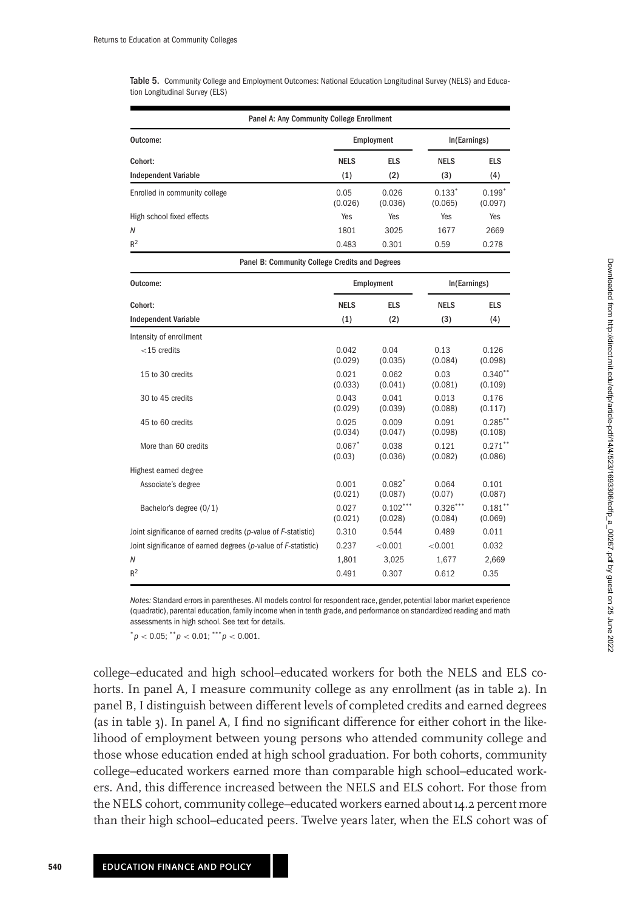<span id="page-17-0"></span>Table 5. Community College and Employment Outcomes: National Education Longitudinal Survey (NELS) and Education Longitudinal Survey (ELS)

| Panel A: Any Community College Enrollment                     |                    |                       |                       |                       |  |  |
|---------------------------------------------------------------|--------------------|-----------------------|-----------------------|-----------------------|--|--|
| Outcome:                                                      |                    | Employment            | In(Earnings)          |                       |  |  |
| Cohort:                                                       | <b>NELS</b>        | <b>ELS</b>            | <b>NELS</b>           | <b>ELS</b>            |  |  |
| <b>Independent Variable</b>                                   | (1)                | (2)                   | (3)                   | (4)                   |  |  |
| Enrolled in community college                                 | 0.05<br>(0.026)    | 0.026<br>(0.036)      | $0.133*$<br>(0.065)   | $0.199*$<br>(0.097)   |  |  |
| High school fixed effects                                     | Yes                | Yes                   | Yes                   | Yes                   |  |  |
| Ν                                                             | 1801               | 3025                  | 1677                  | 2669                  |  |  |
| $R^2$                                                         | 0.483              | 0.301                 | 0.59                  | 0.278                 |  |  |
| Panel B: Community College Credits and Degrees                |                    |                       |                       |                       |  |  |
| Outcome:                                                      | Employment         |                       |                       | In(Earnings)          |  |  |
| Cohort:                                                       | <b>NELS</b>        | ELS                   | <b>NELS</b>           | <b>ELS</b>            |  |  |
| <b>Independent Variable</b>                                   | (1)                | (2)                   | (3)                   | (4)                   |  |  |
| Intensity of enrollment                                       |                    |                       |                       |                       |  |  |
| $<$ 15 credits                                                | 0.042<br>(0.029)   | 0.04<br>(0.035)       | 0.13<br>(0.084)       | 0.126<br>(0.098)      |  |  |
| 15 to 30 credits                                              | 0.021<br>(0.033)   | 0.062<br>(0.041)      | 0.03<br>(0.081)       | $0.340**$<br>(0.109)  |  |  |
| 30 to 45 credits                                              | 0.043<br>(0.029)   | 0.041<br>(0.039)      | 0.013<br>(0.088)      | 0.176<br>(0.117)      |  |  |
| 45 to 60 credits                                              | 0.025<br>(0.034)   | 0.009<br>(0.047)      | 0.091<br>(0.098)      | $0.285***$<br>(0.108) |  |  |
| More than 60 credits                                          | $0.067*$<br>(0.03) | 0.038<br>(0.036)      | 0.121<br>(0.082)      | $0.271$ **<br>(0.086) |  |  |
| Highest earned degree                                         |                    |                       |                       |                       |  |  |
| Associate's degree                                            | 0.001<br>(0.021)   | $0.082*$<br>(0.087)   | 0.064<br>(0.07)       | 0.101<br>(0.087)      |  |  |
| Bachelor's degree (0/1)                                       | 0.027<br>(0.021)   | $0.102***$<br>(0.028) | $0.326***$<br>(0.084) | $0.181$ **<br>(0.069) |  |  |
| Joint significance of earned credits (p-value of F-statistic) | 0.310              | 0.544                 | 0.489                 | 0.011                 |  |  |
| Joint significance of earned degrees (p-value of F-statistic) | 0.237              | < 0.001               | < 0.001               | 0.032                 |  |  |
| Ν                                                             | 1,801              | 3,025                 | 1,677                 | 2,669                 |  |  |
| $R^2$                                                         | 0.491              | 0.307                 | 0.612                 | 0.35                  |  |  |

Notes: Standard errors in parentheses. All models control for respondent race, gender, potential labor market experience (quadratic), parental education, family income when in tenth grade, and performance on standardized reading and math assessments in high school. See text for details.

 $p < 0.05$ ;  $p < 0.01$ ;  $p > 0.001$ .

college–educated and high school–educated workers for both the NELS and ELS cohorts. In panel A, I measure community college as any enrollment (as in table [2\)](#page-13-0). In panel B, I distinguish between different levels of completed credits and earned degrees (as in table [3\)](#page-14-0). In panel A, I find no significant difference for either cohort in the likelihood of employment between young persons who attended community college and those whose education ended at high school graduation. For both cohorts, community college–educated workers earned more than comparable high school–educated workers. And, this difference increased between the NELS and ELS cohort. For those from the NELS cohort, community college–educated workers earned about 14.2 percent more than their high school–educated peers. Twelve years later, when the ELS cohort was of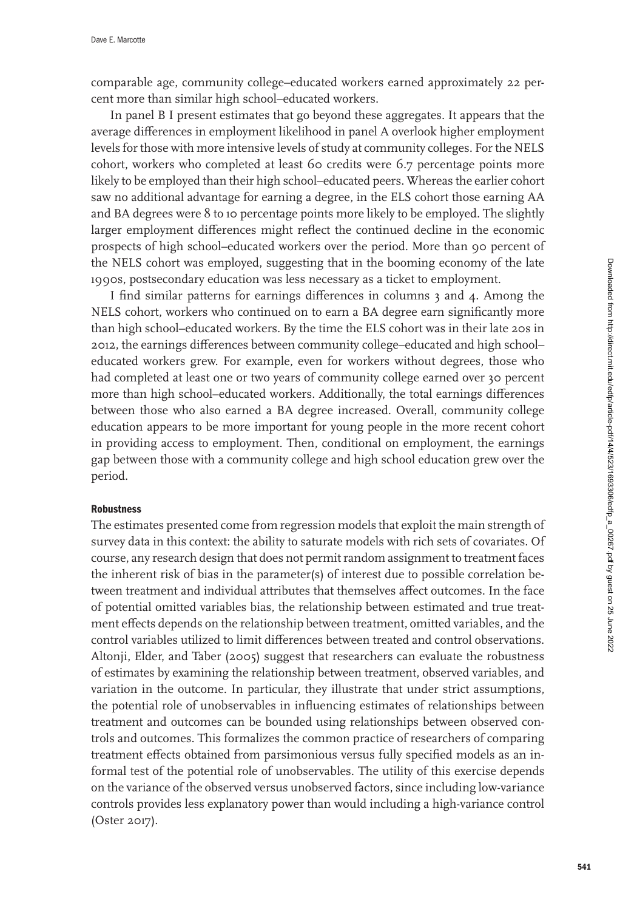comparable age, community college–educated workers earned approximately 22 percent more than similar high school–educated workers.

In panel B I present estimates that go beyond these aggregates. It appears that the average differences in employment likelihood in panel A overlook higher employment levels for those with more intensive levels of study at community colleges. For the NELS cohort, workers who completed at least 60 credits were 6.7 percentage points more likely to be employed than their high school–educated peers. Whereas the earlier cohort saw no additional advantage for earning a degree, in the ELS cohort those earning AA and BA degrees were 8 to 10 percentage points more likely to be employed. The slightly larger employment differences might reflect the continued decline in the economic prospects of high school–educated workers over the period. More than 90 percent of the NELS cohort was employed, suggesting that in the booming economy of the late 1990s, postsecondary education was less necessary as a ticket to employment.

I find similar patterns for earnings differences in columns 3 and 4. Among the NELS cohort, workers who continued on to earn a BA degree earn significantly more than high school–educated workers. By the time the ELS cohort was in their late 20s in 2012, the earnings differences between community college–educated and high school– educated workers grew. For example, even for workers without degrees, those who had completed at least one or two years of community college earned over 30 percent more than high school–educated workers. Additionally, the total earnings differences between those who also earned a BA degree increased. Overall, community college education appears to be more important for young people in the more recent cohort in providing access to employment. Then, conditional on employment, the earnings gap between those with a community college and high school education grew over the period.

### **Robustness**

The estimates presented come from regression models that exploit the main strength of survey data in this context: the ability to saturate models with rich sets of covariates. Of course, any research design that does not permit random assignment to treatment faces the inherent risk of bias in the parameter(s) of interest due to possible correlation between treatment and individual attributes that themselves affect outcomes. In the face of potential omitted variables bias, the relationship between estimated and true treatment effects depends on the relationship between treatment, omitted variables, and the control variables utilized to limit differences between treated and control observations. Altonji, Elder, and Taber [\(2005\)](#page-23-0) suggest that researchers can evaluate the robustness of estimates by examining the relationship between treatment, observed variables, and variation in the outcome. In particular, they illustrate that under strict assumptions, the potential role of unobservables in influencing estimates of relationships between treatment and outcomes can be bounded using relationships between observed controls and outcomes. This formalizes the common practice of researchers of comparing treatment effects obtained from parsimonious versus fully specified models as an informal test of the potential role of unobservables. The utility of this exercise depends on the variance of the observed versus unobserved factors, since including low-variance controls provides less explanatory power than would including a high-variance control (Oster [2017\)](#page-24-0).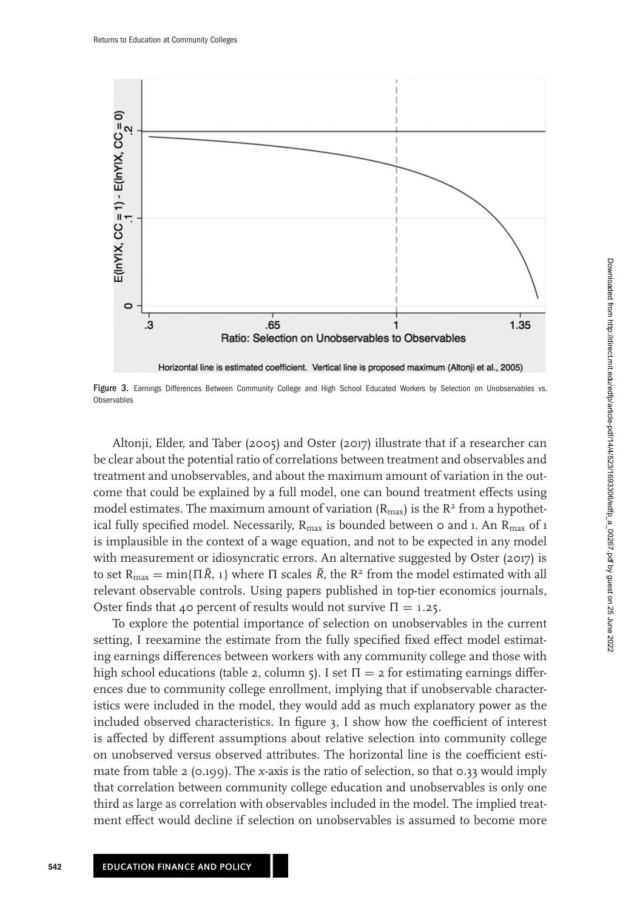

Figure 3. Earnings Differences Between Community College and High School Educated Workers by Selection on Unobservables vs. **Observables** 

Altonji, Elder, and Taber [\(2005\)](#page-23-0) and Oster [\(2017\)](#page-24-0) illustrate that if a researcher can be clear about the potential ratio of correlations between treatment and observables and treatment and unobservables, and about the maximum amount of variation in the outcome that could be explained by a full model, one can bound treatment effects using model estimates. The maximum amount of variation  $(R_{max})$  is the  $R<sup>2</sup>$  from a hypothetical fully specified model. Necessarily,  $R_{\text{max}}$  is bounded between 0 and 1. An  $R_{\text{max}}$  of 1 is implausible in the context of a wage equation, and not to be expected in any model with measurement or idiosyncratic errors. An alternative suggested by Oster [\(2017\)](#page-24-0) is to set  $R_{\text{max}} = \min\{\Pi \tilde{R}, 1\}$  where  $\Pi$  scales  $\tilde{R}$ , the  $R^2$  from the model estimated with all relevant observable controls. Using papers published in top-tier economics journals, Oster finds that 40 percent of results would not survive  $\Pi = 1.25$ .

To explore the potential importance of selection on unobservables in the current setting, I reexamine the estimate from the fully specified fixed effect model estimating earnings differences between workers with any community college and those with high school educations (table [2,](#page-13-0) column 5). I set  $\Pi = 2$  for estimating earnings differences due to community college enrollment, implying that if unobservable characteristics were included in the model, they would add as much explanatory power as the included observed characteristics. In figure 3, I show how the coefficient of interest is affected by different assumptions about relative selection into community college on unobserved versus observed attributes. The horizontal line is the coefficient estimate from table [2](#page-13-0) (0.199). The *x*-axis is the ratio of selection, so that 0.33 would imply that correlation between community college education and unobservables is only one third as large as correlation with observables included in the model. The implied treatment effect would decline if selection on unobservables is assumed to become more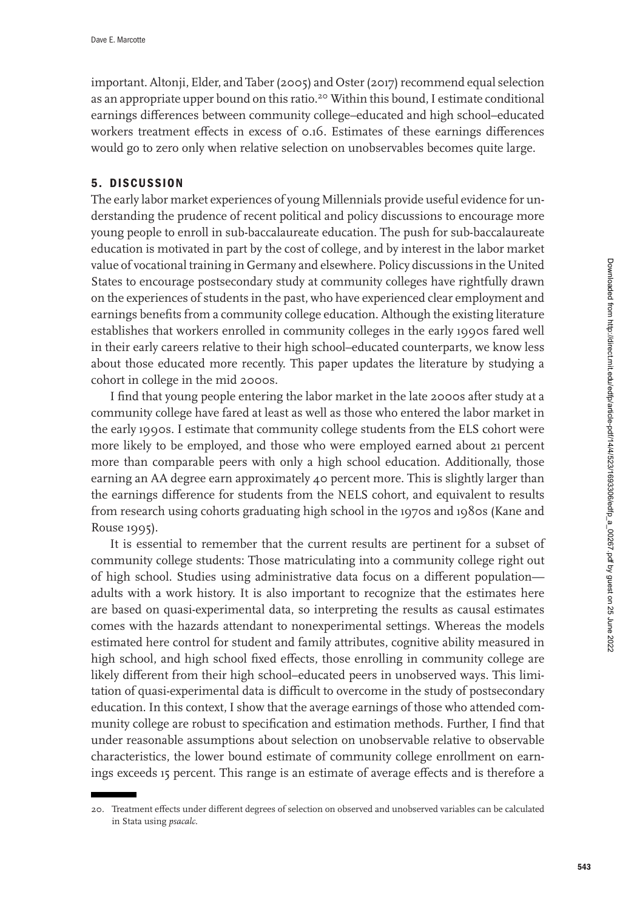important. Altonji, Elder, and Taber [\(2005\)](#page-23-0) and Oster [\(2017\)](#page-24-0) recommend equal selection as an appropriate upper bound on this ratio.<sup>20</sup> Within this bound, I estimate conditional earnings differences between community college–educated and high school–educated workers treatment effects in excess of 0.16. Estimates of these earnings differences would go to zero only when relative selection on unobservables becomes quite large.

## **5. DISCUSSION**

The early labor market experiences of young Millennials provide useful evidence for understanding the prudence of recent political and policy discussions to encourage more young people to enroll in sub-baccalaureate education. The push for sub-baccalaureate education is motivated in part by the cost of college, and by interest in the labor market value of vocational training in Germany and elsewhere. Policy discussions in the United States to encourage postsecondary study at community colleges have rightfully drawn on the experiences of students in the past, who have experienced clear employment and earnings benefits from a community college education. Although the existing literature establishes that workers enrolled in community colleges in the early 1990s fared well in their early careers relative to their high school–educated counterparts, we know less about those educated more recently. This paper updates the literature by studying a cohort in college in the mid 2000s.

I find that young people entering the labor market in the late 2000s after study at a community college have fared at least as well as those who entered the labor market in the early 1990s. I estimate that community college students from the ELS cohort were more likely to be employed, and those who were employed earned about 21 percent more than comparable peers with only a high school education. Additionally, those earning an AA degree earn approximately 40 percent more. This is slightly larger than the earnings difference for students from the NELS cohort, and equivalent to results from research using cohorts graduating high school in the 1970s and 1980s (Kane and Rouse [1995\)](#page-23-0).

It is essential to remember that the current results are pertinent for a subset of community college students: Those matriculating into a community college right out of high school. Studies using administrative data focus on a different population adults with a work history. It is also important to recognize that the estimates here are based on quasi-experimental data, so interpreting the results as causal estimates comes with the hazards attendant to nonexperimental settings. Whereas the models estimated here control for student and family attributes, cognitive ability measured in high school, and high school fixed effects, those enrolling in community college are likely different from their high school–educated peers in unobserved ways. This limitation of quasi-experimental data is difficult to overcome in the study of postsecondary education. In this context, I show that the average earnings of those who attended community college are robust to specification and estimation methods. Further, I find that under reasonable assumptions about selection on unobservable relative to observable characteristics, the lower bound estimate of community college enrollment on earnings exceeds 15 percent. This range is an estimate of average effects and is therefore a

<sup>20.</sup> Treatment effects under different degrees of selection on observed and unobserved variables can be calculated in Stata using *psacalc*.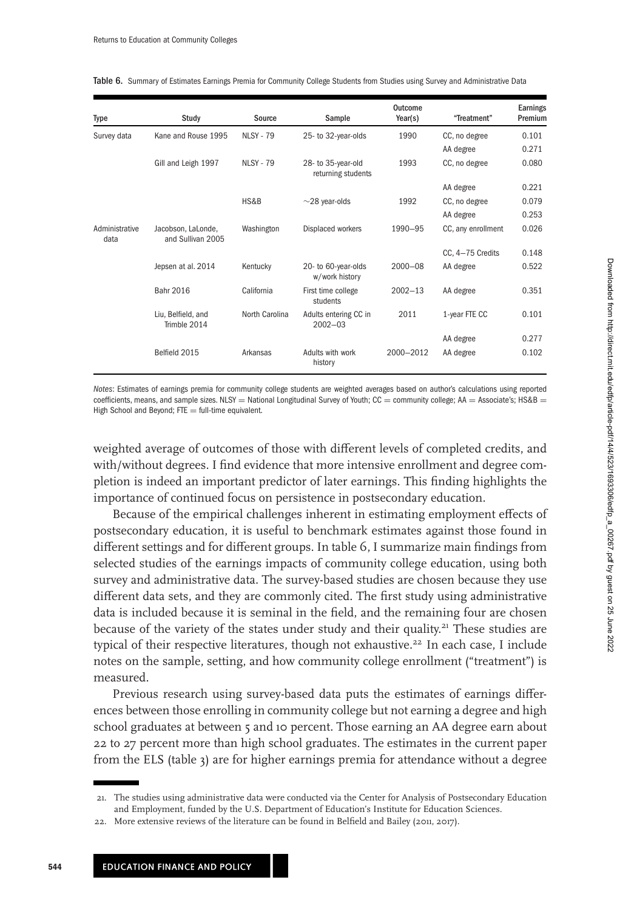| Type                   | Study                                   | Source           | Sample                                   | Outcome<br>Year(s) | "Treatment"        | Earnings<br>Premium |
|------------------------|-----------------------------------------|------------------|------------------------------------------|--------------------|--------------------|---------------------|
| Survey data            | Kane and Rouse 1995                     | <b>NLSY - 79</b> | 25- to 32-year-olds                      | 1990               | CC, no degree      | 0.101               |
|                        |                                         |                  |                                          |                    | AA degree          | 0.271               |
|                        | Gill and Leigh 1997                     | <b>NLSY - 79</b> | 28- to 35-year-old<br>returning students | 1993               | CC, no degree      | 0.080               |
|                        |                                         |                  |                                          |                    | AA degree          | 0.221               |
|                        |                                         | HS&B             | $\sim$ 28 year-olds                      | 1992               | CC, no degree      | 0.079               |
|                        |                                         |                  |                                          |                    | AA degree          | 0.253               |
| Administrative<br>data | Jacobson, LaLonde,<br>and Sullivan 2005 | Washington       | Displaced workers                        | 1990-95            | CC, any enrollment | 0.026               |
|                        |                                         |                  |                                          |                    | CC, 4-75 Credits   | 0.148               |
|                        | Jepsen at al. 2014                      | Kentucky         | 20- to 60-year-olds<br>w/work history    | $2000 - 08$        | AA degree          | 0.522               |
|                        | Bahr 2016                               | California       | First time college<br>students           | $2002 - 13$        | AA degree          | 0.351               |
|                        | Liu, Belfield, and<br>Trimble 2014      | North Carolina   | Adults entering CC in<br>$2002 - 03$     | 2011               | 1-year FTE CC      | 0.101               |
|                        |                                         |                  |                                          |                    | AA degree          | 0.277               |
|                        | Belfield 2015                           | Arkansas         | Adults with work<br>history              | 2000-2012          | AA degree          | 0.102               |

<span id="page-21-0"></span>Table 6. Summary of Estimates Earnings Premia for Community College Students from Studies using Survey and Administrative Data

Notes: Estimates of earnings premia for community college students are weighted averages based on author's calculations using reported coefficients, means, and sample sizes. NLSY = National Longitudinal Survey of Youth; CC = community college; AA = Associate's; HS&B = High School and Beyond;  $FTE = full-time equivalent$ .

weighted average of outcomes of those with different levels of completed credits, and with/without degrees. I find evidence that more intensive enrollment and degree completion is indeed an important predictor of later earnings. This finding highlights the importance of continued focus on persistence in postsecondary education.

Because of the empirical challenges inherent in estimating employment effects of postsecondary education, it is useful to benchmark estimates against those found in different settings and for different groups. In table 6, I summarize main findings from selected studies of the earnings impacts of community college education, using both survey and administrative data. The survey-based studies are chosen because they use different data sets, and they are commonly cited. The first study using administrative data is included because it is seminal in the field, and the remaining four are chosen because of the variety of the states under study and their quality.<sup>21</sup> These studies are typical of their respective literatures, though not exhaustive.<sup>22</sup> In each case, I include notes on the sample, setting, and how community college enrollment ("treatment") is measured.

Previous research using survey-based data puts the estimates of earnings differences between those enrolling in community college but not earning a degree and high school graduates at between 5 and 10 percent. Those earning an AA degree earn about 22 to 27 percent more than high school graduates. The estimates in the current paper from the ELS (table [3\)](#page-14-0) are for higher earnings premia for attendance without a degree

<sup>21.</sup> The studies using administrative data were conducted via the Center for Analysis of Postsecondary Education and Employment, funded by the U.S. Department of Education's Institute for Education Sciences.

<sup>22.</sup> More extensive reviews of the literature can be found in Belfield and Bailey [\(2011, 2017\)](#page-23-0).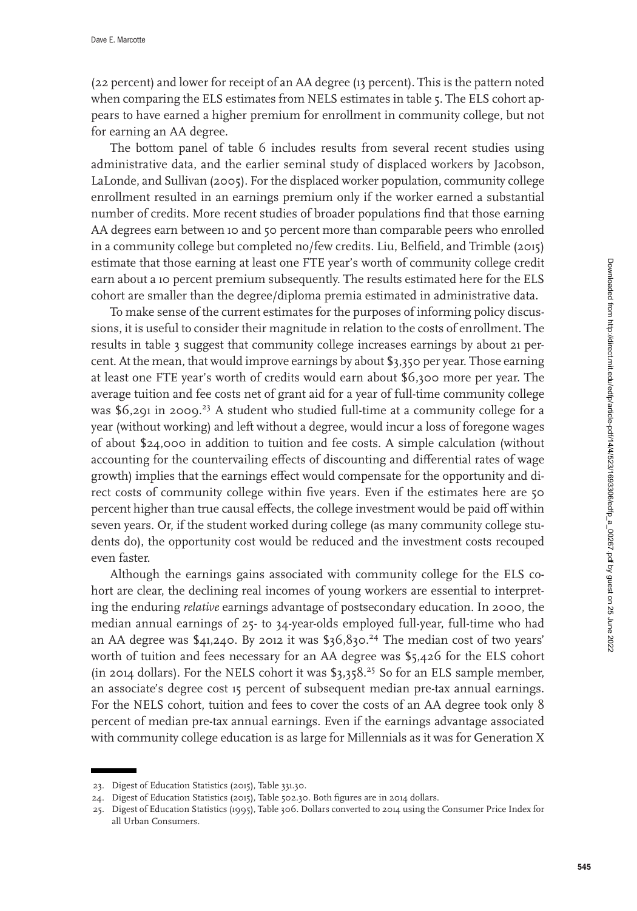(22 percent) and lower for receipt of an AA degree (13 percent). This is the pattern noted when comparing the ELS estimates from NELS estimates in table [5.](#page-17-0) The ELS cohort appears to have earned a higher premium for enrollment in community college, but not for earning an AA degree.

The bottom panel of table [6](#page-21-0) includes results from several recent studies using administrative data, and the earlier seminal study of displaced workers by Jacobson, LaLonde, and Sullivan [\(2005\)](#page-23-0). For the displaced worker population, community college enrollment resulted in an earnings premium only if the worker earned a substantial number of credits. More recent studies of broader populations find that those earning AA degrees earn between 10 and 50 percent more than comparable peers who enrolled in a community college but completed no/few credits. Liu, Belfield, and Trimble [\(2015\)](#page-24-0) estimate that those earning at least one FTE year's worth of community college credit earn about a 10 percent premium subsequently. The results estimated here for the ELS cohort are smaller than the degree/diploma premia estimated in administrative data.

To make sense of the current estimates for the purposes of informing policy discussions, it is useful to consider their magnitude in relation to the costs of enrollment. The results in table [3](#page-14-0) suggest that community college increases earnings by about 21 percent. At the mean, that would improve earnings by about \$3,350 per year. Those earning at least one FTE year's worth of credits would earn about \$6,300 more per year. The average tuition and fee costs net of grant aid for a year of full-time community college was  $$6,291$  in 2009.<sup>23</sup> A student who studied full-time at a community college for a year (without working) and left without a degree, would incur a loss of foregone wages of about \$24,000 in addition to tuition and fee costs. A simple calculation (without accounting for the countervailing effects of discounting and differential rates of wage growth) implies that the earnings effect would compensate for the opportunity and direct costs of community college within five years. Even if the estimates here are 50 percent higher than true causal effects, the college investment would be paid off within seven years. Or, if the student worked during college (as many community college students do), the opportunity cost would be reduced and the investment costs recouped even faster.

Although the earnings gains associated with community college for the ELS cohort are clear, the declining real incomes of young workers are essential to interpreting the enduring *relative* earnings advantage of postsecondary education. In 2000, the median annual earnings of 25- to 34-year-olds employed full-year, full-time who had an AA degree was  $\frac{6}{41,240}$ . By 2012 it was  $\frac{6}{36,830.24}$  The median cost of two years' worth of tuition and fees necessary for an AA degree was \$5,426 for the ELS cohort (in 2014 dollars). For the NELS cohort it was  $\frac{1}{3}$ ,  $\frac{1}{5}$ ,  $\frac{1}{5}$  So for an ELS sample member, an associate's degree cost 15 percent of subsequent median pre-tax annual earnings. For the NELS cohort, tuition and fees to cover the costs of an AA degree took only 8 percent of median pre-tax annual earnings. Even if the earnings advantage associated with community college education is as large for Millennials as it was for Generation X

<sup>23.</sup> Digest of Education Statistics (2015), Table 331.30.

<sup>24.</sup> Digest of Education Statistics (2015), Table 502.30. Both figures are in 2014 dollars.

<sup>25.</sup> Digest of Education Statistics (1995), Table 306. Dollars converted to 2014 using the Consumer Price Index for all Urban Consumers.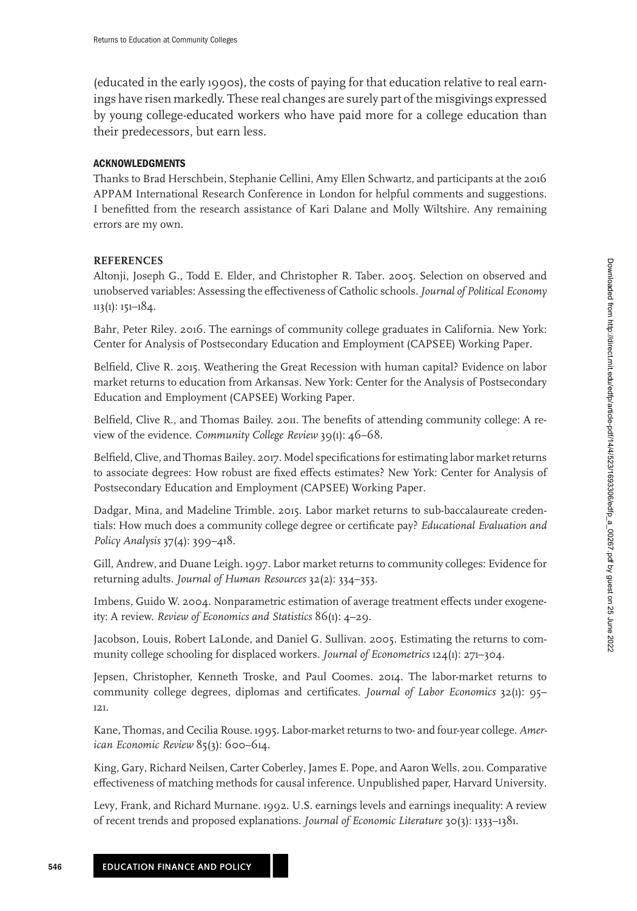<span id="page-23-0"></span>(educated in the early 1990s), the costs of paying for that education relative to real earnings have risen markedly. These real changes are surely part of the misgivings expressed by young college-educated workers who have paid more for a college education than their predecessors, but earn less.

### **ACKNOWLEDGMENTS**

Thanks to Brad Herschbein, Stephanie Cellini, Amy Ellen Schwartz, and participants at the 2016 APPAM International Research Conference in London for helpful comments and suggestions. I benefitted from the research assistance of Kari Dalane and Molly Wiltshire. Any remaining errors are my own.

#### **REFERENCES**

Altonji, Joseph G., Todd E. Elder, and Christopher R. Taber. 2005. Selection on observed and unobserved variables: Assessing the effectiveness of Catholic schools. *Journal of Political Economy*  $113(1): 151-184.$ 

Bahr, Peter Riley. 2016. The earnings of community college graduates in California. New York: Center for Analysis of Postsecondary Education and Employment (CAPSEE) Working Paper.

Belfield, Clive R. 2015. Weathering the Great Recession with human capital? Evidence on labor market returns to education from Arkansas. New York: Center for the Analysis of Postsecondary Education and Employment (CAPSEE) Working Paper.

Belfield, Clive R., and Thomas Bailey. 2011. The benefits of attending community college: A review of the evidence. *Community College Review* 39(1): 46–68.

Belfield, Clive, and Thomas Bailey. 2017. Model specifications for estimating labor market returns to associate degrees: How robust are fixed effects estimates? New York: Center for Analysis of Postsecondary Education and Employment (CAPSEE) Working Paper.

Dadgar, Mina, and Madeline Trimble. 2015. Labor market returns to sub-baccalaureate credentials: How much does a community college degree or certificate pay? *Educational Evaluation and Policy Analysis* 37(4): 399–418.

Gill, Andrew, and Duane Leigh. 1997. Labor market returns to community colleges: Evidence for returning adults. *Journal of Human Resources* 32(2): 334–353.

Imbens, Guido W. 2004. Nonparametric estimation of average treatment effects under exogeneity: A review. *Review of Economics and Statistics* 86(1): 4–29.

Jacobson, Louis, Robert LaLonde, and Daniel G. Sullivan. 2005. Estimating the returns to community college schooling for displaced workers. *Journal of Econometrics* 124(1): 271–304.

Jepsen, Christopher, Kenneth Troske, and Paul Coomes. 2014. The labor-market returns to community college degrees, diplomas and certificates. *Journal of Labor Economics* 32(1): 95– 121.

Kane, Thomas, and Cecilia Rouse. 1995. Labor-market returns to two- and four-year college. *American Economic Review* 85(3): 600–614.

King, Gary, Richard Neilsen, Carter Coberley, James E. Pope, and Aaron Wells. 2011. Comparative effectiveness of matching methods for causal inference. Unpublished paper, Harvard University.

Levy, Frank, and Richard Murnane. 1992. U.S. earnings levels and earnings inequality: A review of recent trends and proposed explanations. *Journal of Economic Literature* 30(3): 1333–1381.